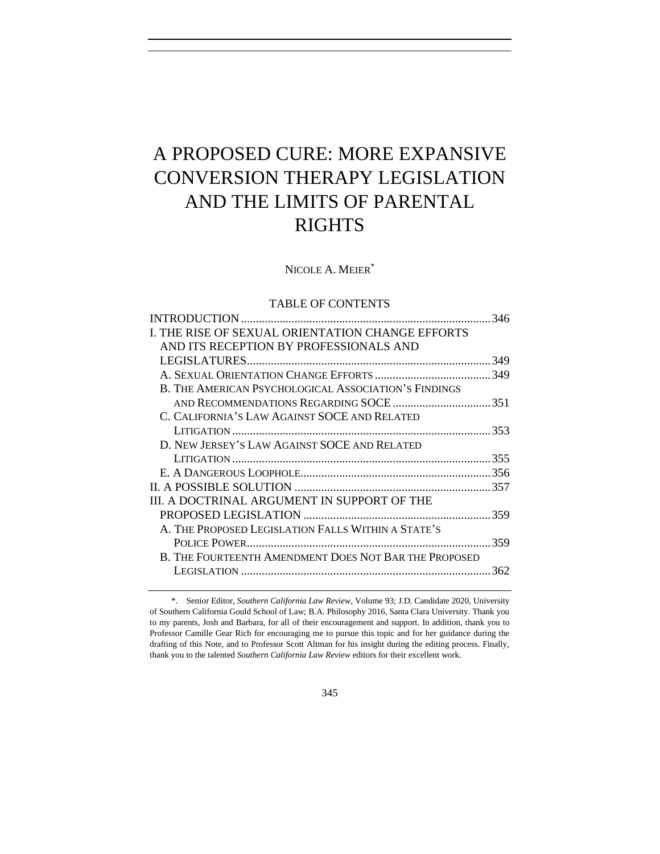# A PROPOSED CURE: MORE EXPANSIVE CONVERSION THERAPY LEGISLATION AND THE LIMITS OF PARENTAL RIGHTS

NICOLE A. MEIER<sup>\*</sup>

# TABLE OF CONTENTS

|                                                       | 346 |
|-------------------------------------------------------|-----|
| I. THE RISE OF SEXUAL ORIENTATION CHANGE EFFORTS      |     |
| AND ITS RECEPTION BY PROFESSIONALS AND                |     |
|                                                       |     |
|                                                       |     |
| B. THE AMERICAN PSYCHOLOGICAL ASSOCIATION'S FINDINGS  |     |
|                                                       |     |
| C. CALIFORNIA'S LAW AGAINST SOCE AND RELATED          |     |
|                                                       |     |
| D. NEW JERSEY'S LAW AGAINST SOCE AND RELATED          |     |
|                                                       |     |
|                                                       |     |
|                                                       |     |
| III. A DOCTRINAL ARGUMENT IN SUPPORT OF THE           |     |
|                                                       |     |
| A. THE PROPOSED LEGISLATION FALLS WITHIN A STATE'S    |     |
|                                                       |     |
| B. THE FOURTEENTH AMENDMENT DOES NOT BAR THE PROPOSED |     |
|                                                       | 362 |
|                                                       |     |

<sup>\*.</sup> Senior Editor, *Southern California Law Review*, Volume 93; J.D. Candidate 2020, University of Southern California Gould School of Law; B.A. Philosophy 2016, Santa Clara University. Thank you to my parents, Josh and Barbara, for all of their encouragement and support. In addition, thank you to Professor Camille Gear Rich for encouraging me to pursue this topic and for her guidance during the drafting of this Note, and to Professor Scott Altman for his insight during the editing process. Finally, thank you to the talented *Southern California Law Review* editors for their excellent work.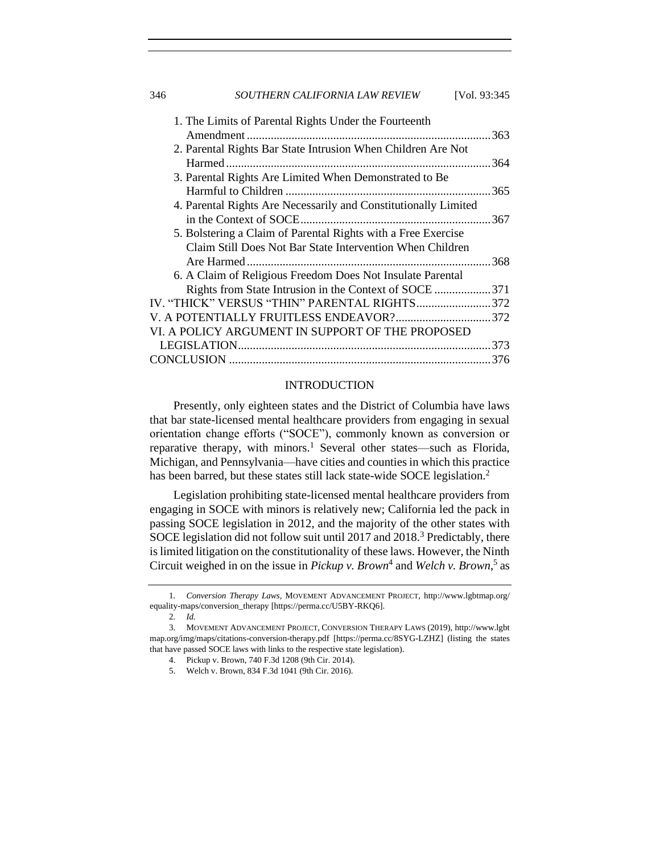| 346<br>SOUTHERN CALIFORNIA LAW REVIEW | [Vol. 93:345] |
|---------------------------------------|---------------|
|---------------------------------------|---------------|

| 1. The Limits of Parental Rights Under the Fourteenth           |       |
|-----------------------------------------------------------------|-------|
|                                                                 | .363  |
| 2. Parental Rights Bar State Intrusion When Children Are Not    |       |
|                                                                 | .364  |
| 3. Parental Rights Are Limited When Demonstrated to Be          |       |
|                                                                 |       |
| 4. Parental Rights Are Necessarily and Constitutionally Limited |       |
|                                                                 |       |
| 5. Bolstering a Claim of Parental Rights with a Free Exercise   |       |
| Claim Still Does Not Bar State Intervention When Children       |       |
|                                                                 | . 368 |
| 6. A Claim of Religious Freedom Does Not Insulate Parental      |       |
| Rights from State Intrusion in the Context of SOCE 371          |       |
| IV. "THICK" VERSUS "THIN" PARENTAL RIGHTS372                    |       |
| V. A POTENTIALLY FRUITLESS ENDEAVOR?372                         |       |
| VI. A POLICY ARGUMENT IN SUPPORT OF THE PROPOSED                |       |
|                                                                 |       |
|                                                                 | .376  |
|                                                                 |       |

## <span id="page-1-1"></span>INTRODUCTION

<span id="page-1-0"></span>Presently, only eighteen states and the District of Columbia have laws that bar state-licensed mental healthcare providers from engaging in sexual orientation change efforts ("SOCE"), commonly known as conversion or reparative therapy, with minors.<sup>1</sup> Several other states—such as Florida, Michigan, and Pennsylvania—have cities and counties in which this practice has been barred, but these states still lack state-wide SOCE legislation.<sup>2</sup>

Legislation prohibiting state-licensed mental healthcare providers from engaging in SOCE with minors is relatively new; California led the pack in passing SOCE legislation in 2012, and the majority of the other states with SOCE legislation did not follow suit until 2017 and 2018.<sup>3</sup> Predictably, there is limited litigation on the constitutionality of these laws. However, the Ninth Circuit weighed in on the issue in *Pickup v. Brown*<sup>4</sup> and *Welch v. Brown*<sup>5</sup> as

<sup>1</sup>*. Conversion Therapy Laws*, MOVEMENT ADVANCEMENT PROJECT, http://www.lgbtmap.org/ equality-maps/conversion\_therapy [https://perma.cc/U5BY-RKQ6].

<sup>2</sup>*. Id.*

<sup>3</sup>*.* MOVEMENT ADVANCEMENT PROJECT, CONVERSION THERAPY LAWS (2019), http://www.lgbt map.org/img/maps/citations-conversion-therapy.pdf [https://perma.cc/8SYG-LZHZ] (listing the states that have passed SOCE laws with links to the respective state legislation).

<sup>4.</sup> Pickup v. Brown, 740 F.3d 1208 (9th Cir. 2014).

<sup>5.</sup> Welch v. Brown, 834 F.3d 1041 (9th Cir. 2016).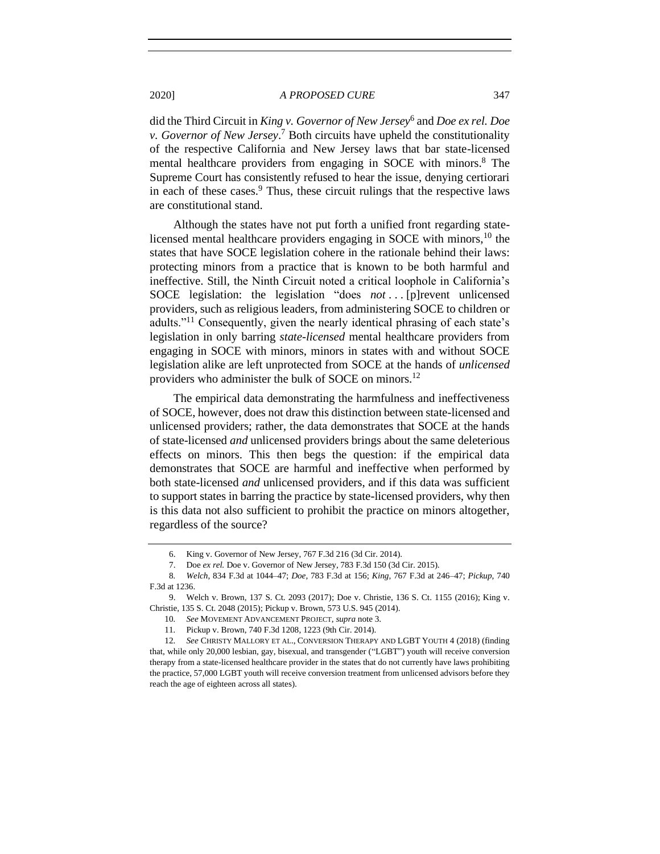did the Third Circuit in *King v. Governor of New Jersey*<sup>6</sup> and *Doe ex rel. Doe v. Governor of New Jersey*. <sup>7</sup> Both circuits have upheld the constitutionality of the respective California and New Jersey laws that bar state-licensed mental healthcare providers from engaging in SOCE with minors.<sup>8</sup> The Supreme Court has consistently refused to hear the issue, denying certiorari in each of these cases. $9$  Thus, these circuit rulings that the respective laws are constitutional stand.

Although the states have not put forth a unified front regarding statelicensed mental healthcare providers engaging in SOCE with minors,<sup>10</sup> the states that have SOCE legislation cohere in the rationale behind their laws: protecting minors from a practice that is known to be both harmful and ineffective. Still, the Ninth Circuit noted a critical loophole in California's SOCE legislation: the legislation "does *not* ... [p]revent unlicensed providers, such as religious leaders, from administering SOCE to children or adults."<sup>11</sup> Consequently, given the nearly identical phrasing of each state's legislation in only barring *state-licensed* mental healthcare providers from engaging in SOCE with minors, minors in states with and without SOCE legislation alike are left unprotected from SOCE at the hands of *unlicensed* providers who administer the bulk of SOCE on minors.<sup>12</sup>

<span id="page-2-0"></span>The empirical data demonstrating the harmfulness and ineffectiveness of SOCE, however, does not draw this distinction between state-licensed and unlicensed providers; rather, the data demonstrates that SOCE at the hands of state-licensed *and* unlicensed providers brings about the same deleterious effects on minors. This then begs the question: if the empirical data demonstrates that SOCE are harmful and ineffective when performed by both state-licensed *and* unlicensed providers, and if this data was sufficient to support states in barring the practice by state-licensed providers, why then is this data not also sufficient to prohibit the practice on minors altogether, regardless of the source?

<sup>6.</sup> King v. Governor of New Jersey, 767 F.3d 216 (3d Cir. 2014).

<sup>7.</sup> Doe *ex rel.* Doe v. Governor of New Jersey, 783 F.3d 150 (3d Cir. 2015).

<sup>8</sup>*. Welch*, 834 F.3d at 1044–47; *Doe*, 783 F.3d at 156; *King*, 767 F.3d at 246–47; *Pickup*, 740 F.3d at 1236.

<sup>9.</sup> Welch v. Brown, 137 S. Ct. 2093 (2017); Doe v. Christie, 136 S. Ct. 1155 (2016); King v. Christie, 135 S. Ct. 2048 (2015); Pickup v. Brown, 573 U.S. 945 (2014).

<sup>10</sup>*. See* MOVEMENT ADVANCEMENT PROJECT, *supra* note [3.](#page-1-1)

<sup>11</sup>*.* Pickup v. Brown, 740 F.3d 1208, 1223 (9th Cir. 2014).

<sup>12</sup>*. See* CHRISTY MALLORY ET AL., CONVERSION THERAPY AND LGBT YOUTH 4 (2018) (finding that, while only 20,000 lesbian, gay, bisexual, and transgender ("LGBT") youth will receive conversion therapy from a state-licensed healthcare provider in the states that do not currently have laws prohibiting the practice, 57,000 LGBT youth will receive conversion treatment from unlicensed advisors before they reach the age of eighteen across all states).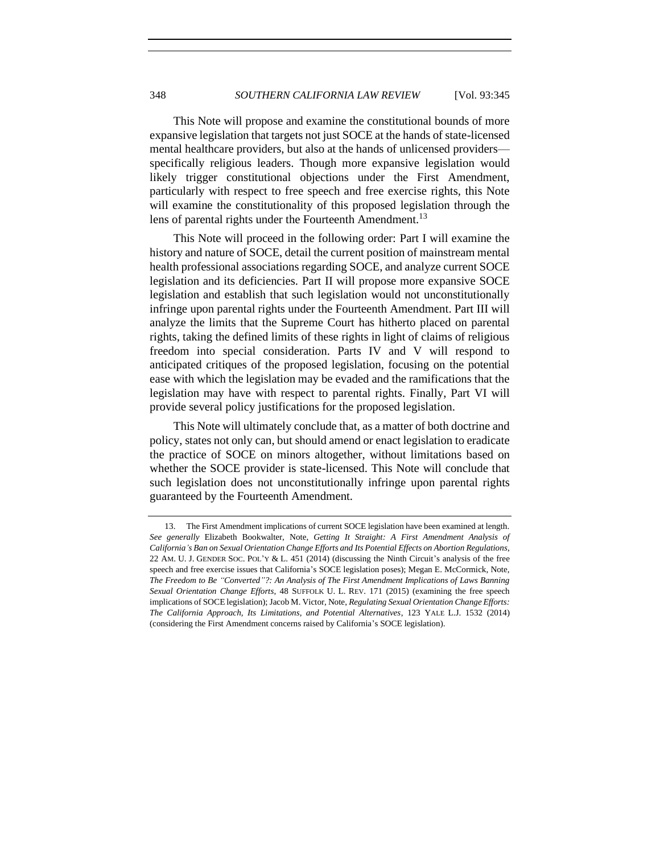This Note will propose and examine the constitutional bounds of more expansive legislation that targets not just SOCE at the hands of state-licensed mental healthcare providers, but also at the hands of unlicensed providers specifically religious leaders. Though more expansive legislation would likely trigger constitutional objections under the First Amendment, particularly with respect to free speech and free exercise rights, this Note will examine the constitutionality of this proposed legislation through the lens of parental rights under the Fourteenth Amendment.<sup>13</sup>

This Note will proceed in the following order: Part I will examine the history and nature of SOCE, detail the current position of mainstream mental health professional associations regarding SOCE, and analyze current SOCE legislation and its deficiencies. Part II will propose more expansive SOCE legislation and establish that such legislation would not unconstitutionally infringe upon parental rights under the Fourteenth Amendment. Part III will analyze the limits that the Supreme Court has hitherto placed on parental rights, taking the defined limits of these rights in light of claims of religious freedom into special consideration. Parts IV and V will respond to anticipated critiques of the proposed legislation, focusing on the potential ease with which the legislation may be evaded and the ramifications that the legislation may have with respect to parental rights. Finally, Part VI will provide several policy justifications for the proposed legislation.

This Note will ultimately conclude that, as a matter of both doctrine and policy, states not only can, but should amend or enact legislation to eradicate the practice of SOCE on minors altogether, without limitations based on whether the SOCE provider is state-licensed. This Note will conclude that such legislation does not unconstitutionally infringe upon parental rights guaranteed by the Fourteenth Amendment.

<sup>13.</sup> The First Amendment implications of current SOCE legislation have been examined at length. *See generally* Elizabeth Bookwalter, Note, *Getting It Straight: A First Amendment Analysis of California's Ban on Sexual Orientation Change Efforts and Its Potential Effects on Abortion Regulations*, 22 AM. U. J. GENDER SOC. POL'Y & L. 451 (2014) (discussing the Ninth Circuit's analysis of the free speech and free exercise issues that California's SOCE legislation poses); Megan E. McCormick, Note, *The Freedom to Be "Converted"?: An Analysis of The First Amendment Implications of Laws Banning Sexual Orientation Change Efforts*, 48 SUFFOLK U. L. REV. 171 (2015) (examining the free speech implications of SOCE legislation); Jacob M. Victor, Note, *Regulating Sexual Orientation Change Efforts: The California Approach, Its Limitations, and Potential Alternatives*, 123 YALE L.J. 1532 (2014) (considering the First Amendment concerns raised by California's SOCE legislation).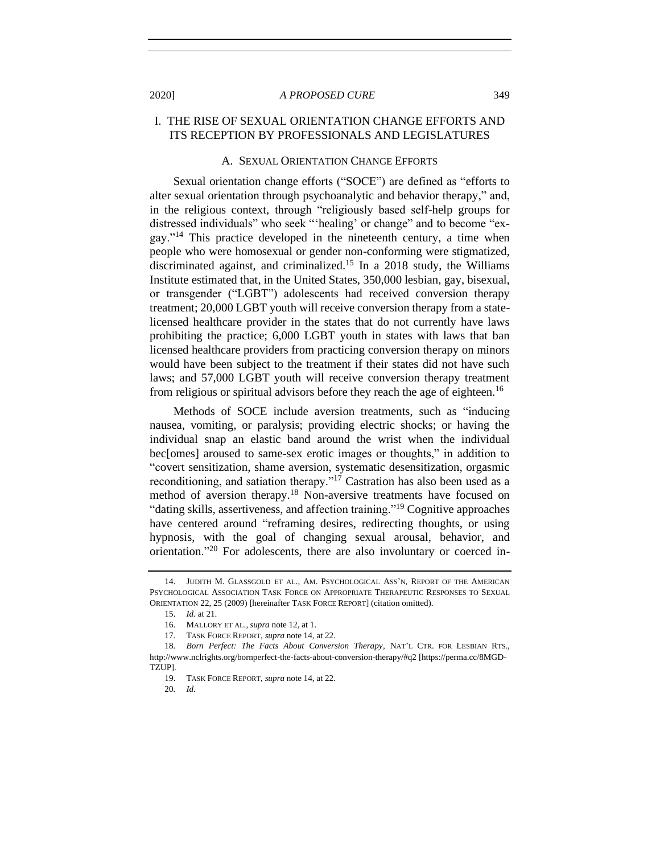# <span id="page-4-0"></span>I. THE RISE OF SEXUAL ORIENTATION CHANGE EFFORTS AND ITS RECEPTION BY PROFESSIONALS AND LEGISLATURES

## A. SEXUAL ORIENTATION CHANGE EFFORTS

<span id="page-4-2"></span><span id="page-4-1"></span>Sexual orientation change efforts ("SOCE") are defined as "efforts to alter sexual orientation through psychoanalytic and behavior therapy," and, in the religious context, through "religiously based self-help groups for distressed individuals" who seek "'healing' or change" and to become "exgay."<sup>14</sup> This practice developed in the nineteenth century, a time when people who were homosexual or gender non-conforming were stigmatized, discriminated against, and criminalized.<sup>15</sup> In a 2018 study, the Williams Institute estimated that, in the United States, 350,000 lesbian, gay, bisexual, or transgender ("LGBT") adolescents had received conversion therapy treatment; 20,000 LGBT youth will receive conversion therapy from a statelicensed healthcare provider in the states that do not currently have laws prohibiting the practice; 6,000 LGBT youth in states with laws that ban licensed healthcare providers from practicing conversion therapy on minors would have been subject to the treatment if their states did not have such laws; and 57,000 LGBT youth will receive conversion therapy treatment from religious or spiritual advisors before they reach the age of eighteen.<sup>16</sup>

Methods of SOCE include aversion treatments, such as "inducing nausea, vomiting, or paralysis; providing electric shocks; or having the individual snap an elastic band around the wrist when the individual bec[omes] aroused to same-sex erotic images or thoughts," in addition to "covert sensitization, shame aversion, systematic desensitization, orgasmic reconditioning, and satiation therapy."<sup>17</sup> Castration has also been used as a method of aversion therapy.<sup>18</sup> Non-aversive treatments have focused on "dating skills, assertiveness, and affection training."<sup>19</sup> Cognitive approaches have centered around "reframing desires, redirecting thoughts, or using hypnosis, with the goal of changing sexual arousal, behavior, and orientation."<sup>20</sup> For adolescents, there are also involuntary or coerced in-

<sup>14.</sup> JUDITH M. GLASSGOLD ET AL., AM. PSYCHOLOGICAL ASS'N, REPORT OF THE AMERICAN PSYCHOLOGICAL ASSOCIATION TASK FORCE ON APPROPRIATE THERAPEUTIC RESPONSES TO SEXUAL ORIENTATION 22, 25 (2009) [hereinafter TASK FORCE REPORT] (citation omitted).

<sup>15.</sup> *Id.* at 21.

<sup>16.</sup> MALLORY ET AL., *supra* note [12,](#page-2-0) at 1.

<sup>17</sup>*.* TASK FORCE REPORT, *supra* note [14,](#page-4-2) at 22.

<sup>18</sup>*. Born Perfect: The Facts About Conversion Therapy*, NAT'L CTR. FOR LESBIAN RTS., http://www.nclrights.org/bornperfect-the-facts-about-conversion-therapy/#q2 [https://perma.cc/8MGD-TZUP].

<sup>19.</sup> TASK FORCE REPORT, *supra* note [14,](#page-4-2) at 22.

<sup>20</sup>*. Id.*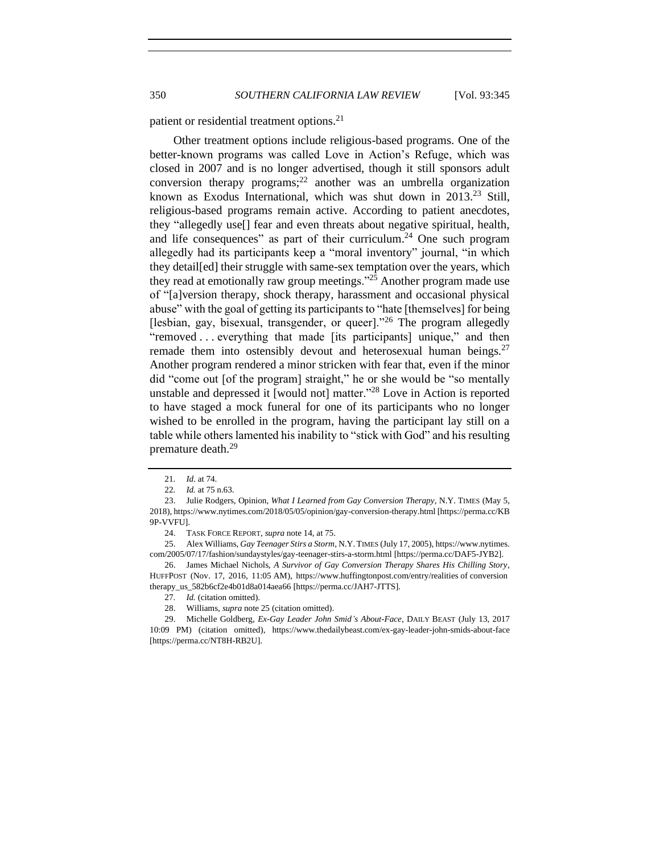patient or residential treatment options.<sup>21</sup>

<span id="page-5-0"></span>Other treatment options include religious-based programs. One of the better-known programs was called Love in Action's Refuge, which was closed in 2007 and is no longer advertised, though it still sponsors adult conversion therapy programs;<sup>22</sup> another was an umbrella organization known as Exodus International, which was shut down in 2013.<sup>23</sup> Still, religious-based programs remain active. According to patient anecdotes, they "allegedly use[] fear and even threats about negative spiritual, health, and life consequences" as part of their curriculum.<sup>24</sup> One such program allegedly had its participants keep a "moral inventory" journal, "in which they detail[ed] their struggle with same-sex temptation over the years, which they read at emotionally raw group meetings."<sup>25</sup> Another program made use of "[a]version therapy, shock therapy, harassment and occasional physical abuse" with the goal of getting its participants to "hate [themselves] for being [lesbian, gay, bisexual, transgender, or queer]."<sup>26</sup> The program allegedly "removed . . . everything that made [its participants] unique," and then remade them into ostensibly devout and heterosexual human beings. $27$ Another program rendered a minor stricken with fear that, even if the minor did "come out [of the program] straight," he or she would be "so mentally unstable and depressed it [would not] matter."<sup>28</sup> Love in Action is reported to have staged a mock funeral for one of its participants who no longer wished to be enrolled in the program, having the participant lay still on a table while others lamented his inability to "stick with God" and his resulting premature death.<sup>29</sup>

<sup>21</sup>*. Id.* at 74.

<sup>22</sup>*. Id.* at 75 n.63.

<sup>23.</sup> Julie Rodgers, Opinion, *What I Learned from Gay Conversion Therapy*, N.Y. TIMES (May 5, 2018), https://www.nytimes.com/2018/05/05/opinion/gay-conversion-therapy.html [https://perma.cc/KB 9P-VVFU].

<sup>24.</sup> TASK FORCE REPORT, *supra* note [14,](#page-4-2) at 75.

<sup>25.</sup> Alex Williams, *Gay Teenager Stirs a Storm*, N.Y. TIMES (July 17, 2005), https://www.nytimes. com/2005/07/17/fashion/sundaystyles/gay-teenager-stirs-a-storm.html [https://perma.cc/DAF5-JYB2].

<sup>26.</sup> James Michael Nichols, *A Survivor of Gay Conversion Therapy Shares His Chilling Story*, HUFFPOST (Nov. 17, 2016, 11:05 AM), https://www.huffingtonpost.com/entry/realities of conversion therapy\_us\_582b6cf2e4b01d8a014aea66 [https://perma.cc/JAH7-JTTS].

<sup>27</sup>*. Id.* (citation omitted).

<sup>28.</sup> Williams, *supra* note [25](#page-5-0) (citation omitted).

<sup>29.</sup> Michelle Goldberg, *Ex-Gay Leader John Smid's About-Face*, DAILY BEAST (July 13, 2017 10:09 PM) (citation omitted), https://www.thedailybeast.com/ex-gay-leader-john-smids-about-face [https://perma.cc/NT8H-RB2U].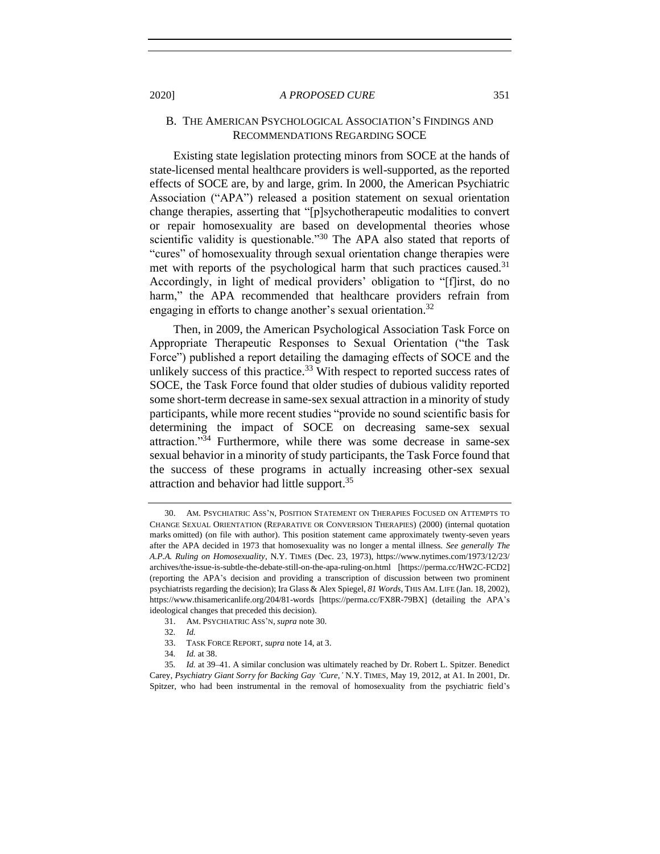## <span id="page-6-0"></span>B. THE AMERICAN PSYCHOLOGICAL ASSOCIATION'S FINDINGS AND RECOMMENDATIONS REGARDING SOCE

<span id="page-6-1"></span>Existing state legislation protecting minors from SOCE at the hands of state-licensed mental healthcare providers is well-supported, as the reported effects of SOCE are, by and large, grim. In 2000, the American Psychiatric Association ("APA") released a position statement on sexual orientation change therapies, asserting that "[p]sychotherapeutic modalities to convert or repair homosexuality are based on developmental theories whose scientific validity is questionable."<sup>30</sup> The APA also stated that reports of "cures" of homosexuality through sexual orientation change therapies were met with reports of the psychological harm that such practices caused.<sup>31</sup> Accordingly, in light of medical providers' obligation to "[f]irst, do no harm," the APA recommended that healthcare providers refrain from engaging in efforts to change another's sexual orientation.<sup>32</sup>

Then, in 2009, the American Psychological Association Task Force on Appropriate Therapeutic Responses to Sexual Orientation ("the Task Force") published a report detailing the damaging effects of SOCE and the unlikely success of this practice.<sup>33</sup> With respect to reported success rates of SOCE, the Task Force found that older studies of dubious validity reported some short-term decrease in same-sex sexual attraction in a minority of study participants, while more recent studies "provide no sound scientific basis for determining the impact of SOCE on decreasing same-sex sexual attraction."<sup>34</sup> Furthermore, while there was some decrease in same-sex sexual behavior in a minority of study participants, the Task Force found that the success of these programs in actually increasing other-sex sexual attraction and behavior had little support.<sup>35</sup>

- 32*. Id.*
- 33. TASK FORCE REPORT, *supra* note [14,](#page-4-2) at 3.
- 34*. Id.* at 38.

<sup>30.</sup> AM. PSYCHIATRIC ASS'N, POSITION STATEMENT ON THERAPIES FOCUSED ON ATTEMPTS TO CHANGE SEXUAL ORIENTATION (REPARATIVE OR CONVERSION THERAPIES) (2000) (internal quotation marks omitted) (on file with author). This position statement came approximately twenty-seven years after the APA decided in 1973 that homosexuality was no longer a mental illness. *See generally The A.P.A. Ruling on Homosexuality*, N.Y. TIMES (Dec. 23, 1973), https://www.nytimes.com/1973/12/23/ archives/the-issue-is-subtle-the-debate-still-on-the-apa-ruling-on.html [https://perma.cc/HW2C-FCD2] (reporting the APA's decision and providing a transcription of discussion between two prominent psychiatrists regarding the decision); Ira Glass & Alex Spiegel, *81 Words*, THIS AM. LIFE (Jan. 18, 2002), https://www.thisamericanlife.org/204/81-words [https://perma.cc/FX8R-79BX] (detailing the APA's ideological changes that preceded this decision).

<sup>31.</sup> AM. PSYCHIATRIC ASS'N, *supra* not[e 30.](#page-6-1)

<sup>35</sup>*. Id.* at 39–41. A similar conclusion was ultimately reached by Dr. Robert L. Spitzer. Benedict Carey, *Psychiatry Giant Sorry for Backing Gay 'Cure*,*'* N.Y. TIMES, May 19, 2012, at A1. In 2001, Dr. Spitzer, who had been instrumental in the removal of homosexuality from the psychiatric field's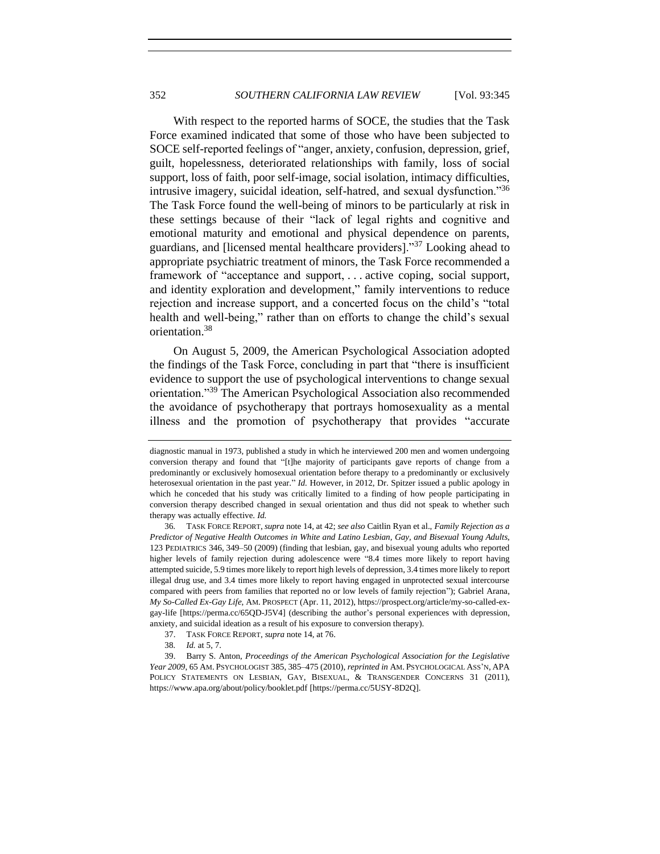With respect to the reported harms of SOCE, the studies that the Task Force examined indicated that some of those who have been subjected to SOCE self-reported feelings of "anger, anxiety, confusion, depression, grief, guilt, hopelessness, deteriorated relationships with family, loss of social support, loss of faith, poor self-image, social isolation, intimacy difficulties, intrusive imagery, suicidal ideation, self-hatred, and sexual dysfunction."<sup>36</sup> The Task Force found the well-being of minors to be particularly at risk in these settings because of their "lack of legal rights and cognitive and emotional maturity and emotional and physical dependence on parents, guardians, and [licensed mental healthcare providers]."<sup>37</sup> Looking ahead to appropriate psychiatric treatment of minors, the Task Force recommended a framework of "acceptance and support, . . . active coping, social support, and identity exploration and development," family interventions to reduce rejection and increase support, and a concerted focus on the child's "total health and well-being," rather than on efforts to change the child's sexual orientation.<sup>38</sup>

On August 5, 2009, the American Psychological Association adopted the findings of the Task Force, concluding in part that "there is insufficient evidence to support the use of psychological interventions to change sexual orientation."<sup>39</sup> The American Psychological Association also recommended the avoidance of psychotherapy that portrays homosexuality as a mental illness and the promotion of psychotherapy that provides "accurate

diagnostic manual in 1973, published a study in which he interviewed 200 men and women undergoing conversion therapy and found that "[t]he majority of participants gave reports of change from a predominantly or exclusively homosexual orientation before therapy to a predominantly or exclusively heterosexual orientation in the past year." *Id.* However, in 2012, Dr. Spitzer issued a public apology in which he conceded that his study was critically limited to a finding of how people participating in conversion therapy described changed in sexual orientation and thus did not speak to whether such therapy was actually effective. *Id.*

<sup>36</sup>*.* TASK FORCE REPORT, *supra* not[e 14,](#page-4-2) at 42; *see also* Caitlin Ryan et al., *Family Rejection as a Predictor of Negative Health Outcomes in White and Latino Lesbian, Gay, and Bisexual Young Adults*, 123 PEDIATRICS 346, 349–50 (2009) (finding that lesbian, gay, and bisexual young adults who reported higher levels of family rejection during adolescence were "8.4 times more likely to report having attempted suicide, 5.9 times more likely to report high levels of depression, 3.4 times more likely to report illegal drug use, and 3.4 times more likely to report having engaged in unprotected sexual intercourse compared with peers from families that reported no or low levels of family rejection"); Gabriel Arana, *My So-Called Ex-Gay Life*, AM. PROSPECT (Apr. 11, 2012), https://prospect.org/article/my-so-called-exgay-life [https://perma.cc/65QD-J5V4] (describing the author's personal experiences with depression, anxiety, and suicidal ideation as a result of his exposure to conversion therapy).

<sup>37.</sup> TASK FORCE REPORT, *supra* note [14,](#page-4-2) at 76.

<sup>38</sup>*. Id.* at 5, 7.

<sup>39.</sup> Barry S. Anton, *Proceedings of the American Psychological Association for the Legislative Year 2009*, 65 AM. PSYCHOLOGIST 385, 385–475 (2010), *reprinted in* AM. PSYCHOLOGICAL ASS'N, APA POLICY STATEMENTS ON LESBIAN, GAY, BISEXUAL, & TRANSGENDER CONCERNS 31 (2011), https://www.apa.org/about/policy/booklet.pdf [https://perma.cc/5USY-8D2Q].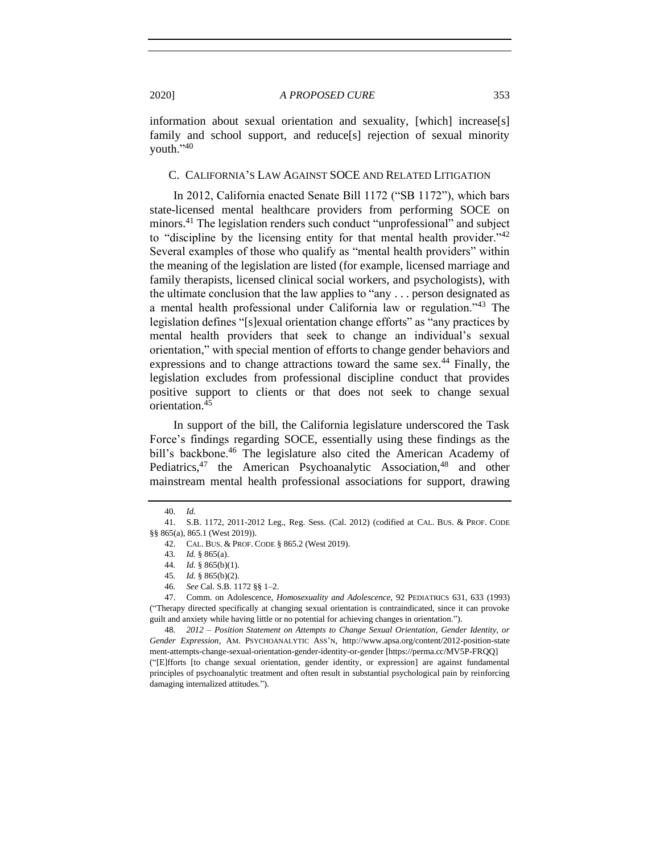information about sexual orientation and sexuality, [which] increase[s] family and school support, and reduce[s] rejection of sexual minority youth."40

## <span id="page-8-0"></span>C. CALIFORNIA'S LAW AGAINST SOCE AND RELATED LITIGATION

In 2012, California enacted Senate Bill 1172 ("SB 1172"), which bars state-licensed mental healthcare providers from performing SOCE on minors.<sup>41</sup> The legislation renders such conduct "unprofessional" and subject to "discipline by the licensing entity for that mental health provider."<sup>42</sup> Several examples of those who qualify as "mental health providers" within the meaning of the legislation are listed (for example, licensed marriage and family therapists, licensed clinical social workers, and psychologists), with the ultimate conclusion that the law applies to "any . . . person designated as a mental health professional under California law or regulation."<sup>43</sup> The legislation defines "[s]exual orientation change efforts" as "any practices by mental health providers that seek to change an individual's sexual orientation," with special mention of efforts to change gender behaviors and expressions and to change attractions toward the same sex.<sup>44</sup> Finally, the legislation excludes from professional discipline conduct that provides positive support to clients or that does not seek to change sexual orientation.<sup>45</sup>

In support of the bill, the California legislature underscored the Task Force's findings regarding SOCE, essentially using these findings as the bill's backbone.<sup>46</sup> The legislature also cited the American Academy of Pediatrics, $47$  the American Psychoanalytic Association, $48$  and other mainstream mental health professional associations for support, drawing

<sup>40</sup>*. Id.*

<sup>41.</sup> S.B. 1172, 2011-2012 Leg., Reg. Sess. (Cal. 2012) (codified at CAL. BUS. & PROF. CODE §§ 865(a), 865.1 (West 2019)).

<sup>42.</sup> CAL. BUS. & PROF. CODE § 865.2 (West 2019).

<sup>43</sup>*. Id.* § 865(a).

<sup>44</sup>*. Id.* § 865(b)(1).

<sup>45</sup>*. Id.* § 865(b)(2).

<sup>46</sup>*. See* Cal. S.B. 1172 §§ 1–2.

<sup>47.</sup> Comm. on Adolescence, *Homosexuality and Adolescence*, 92 PEDIATRICS 631, 633 (1993) ("Therapy directed specifically at changing sexual orientation is contraindicated, since it can provoke guilt and anxiety while having little or no potential for achieving changes in orientation.").

<sup>48</sup>*. 2012 – Position Statement on Attempts to Change Sexual Orientation, Gender Identity, or Gender Expression*, AM. PSYCHOANALYTIC ASS'N, http://www.apsa.org/content/2012-position-state ment-attempts-change-sexual-orientation-gender-identity-or-gender [https://perma.cc/MV5P-FRQQ] ("[E]fforts [to change sexual orientation, gender identity, or expression] are against fundamental principles of psychoanalytic treatment and often result in substantial psychological pain by reinforcing damaging internalized attitudes.").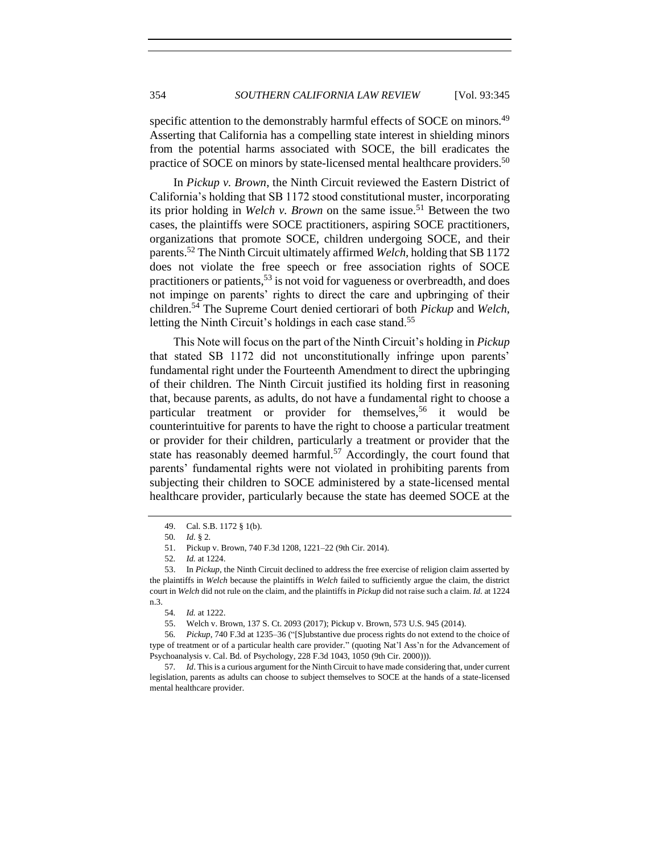specific attention to the demonstrably harmful effects of SOCE on minors.<sup>49</sup> Asserting that California has a compelling state interest in shielding minors from the potential harms associated with SOCE, the bill eradicates the practice of SOCE on minors by state-licensed mental healthcare providers.<sup>50</sup>

In *Pickup v. Brown*, the Ninth Circuit reviewed the Eastern District of California's holding that SB 1172 stood constitutional muster, incorporating its prior holding in *Welch v. Brown* on the same issue.<sup>51</sup> Between the two cases, the plaintiffs were SOCE practitioners, aspiring SOCE practitioners, organizations that promote SOCE, children undergoing SOCE, and their parents.<sup>52</sup> The Ninth Circuit ultimately affirmed *Welch*, holding that SB 1172 does not violate the free speech or free association rights of SOCE practitioners or patients,  $53$  is not void for vagueness or overbreadth, and does not impinge on parents' rights to direct the care and upbringing of their children.<sup>54</sup> The Supreme Court denied certiorari of both *Pickup* and *Welch*, letting the Ninth Circuit's holdings in each case stand.<sup>55</sup>

This Note will focus on the part of the Ninth Circuit's holding in *Pickup* that stated SB 1172 did not unconstitutionally infringe upon parents' fundamental right under the Fourteenth Amendment to direct the upbringing of their children. The Ninth Circuit justified its holding first in reasoning that, because parents, as adults, do not have a fundamental right to choose a particular treatment or provider for themselves.<sup>56</sup> it would be counterintuitive for parents to have the right to choose a particular treatment or provider for their children, particularly a treatment or provider that the state has reasonably deemed harmful.<sup>57</sup> Accordingly, the court found that parents' fundamental rights were not violated in prohibiting parents from subjecting their children to SOCE administered by a state-licensed mental healthcare provider, particularly because the state has deemed SOCE at the

<sup>49.</sup> Cal. S.B. 1172 § 1(b).

<sup>50</sup>*. Id.* § 2*.*

<sup>51.</sup> Pickup v. Brown, 740 F.3d 1208, 1221–22 (9th Cir. 2014).

<sup>52</sup>*. Id.* at 1224.

<sup>53.</sup> In *Pickup*, the Ninth Circuit declined to address the free exercise of religion claim asserted by the plaintiffs in *Welch* because the plaintiffs in *Welch* failed to sufficiently argue the claim, the district court in *Welch* did not rule on the claim, and the plaintiffs in *Pickup* did not raise such a claim. *Id.* at 1224 n.3.

<sup>54</sup>*. Id.* at 1222.

<sup>55.</sup> Welch v. Brown, 137 S. Ct. 2093 (2017); Pickup v. Brown, 573 U.S. 945 (2014).

<sup>56</sup>*. Pickup*, 740 F.3d at 1235–36 ("[S]ubstantive due process rights do not extend to the choice of type of treatment or of a particular health care provider." (quoting Nat'l Ass'n for the Advancement of Psychoanalysis v. Cal. Bd. of Psychology, 228 F.3d 1043, 1050 (9th Cir. 2000))).

<sup>57</sup>*. Id*. This is a curious argument for the Ninth Circuit to have made considering that, under current legislation, parents as adults can choose to subject themselves to SOCE at the hands of a state-licensed mental healthcare provider.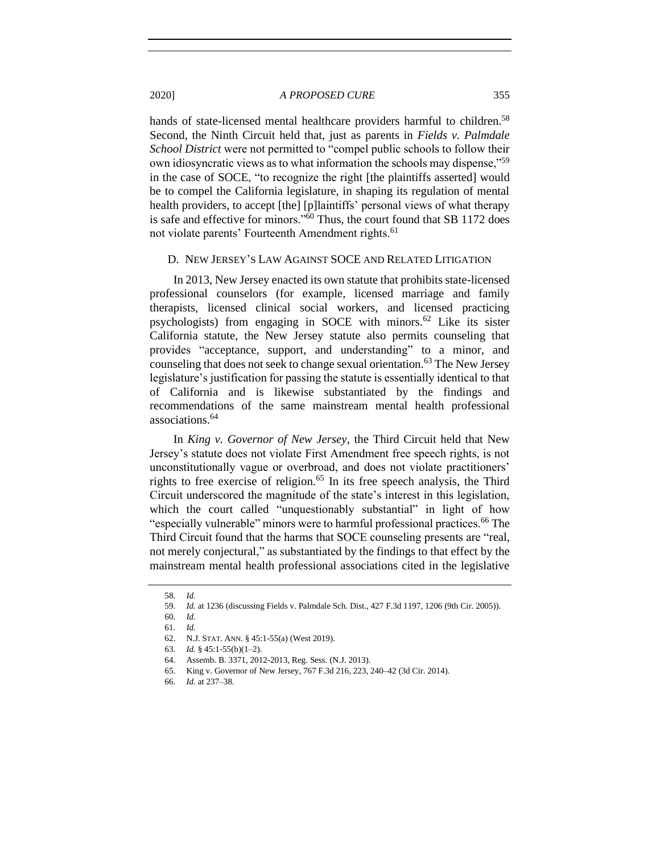hands of state-licensed mental healthcare providers harmful to children.<sup>58</sup> Second, the Ninth Circuit held that, just as parents in *Fields v. Palmdale School District* were not permitted to "compel public schools to follow their own idiosyncratic views as to what information the schools may dispense,"<sup>59</sup> in the case of SOCE, "to recognize the right [the plaintiffs asserted] would be to compel the California legislature, in shaping its regulation of mental health providers, to accept [the] [p]laintiffs' personal views of what therapy is safe and effective for minors."<sup>60</sup> Thus, the court found that SB 1172 does not violate parents' Fourteenth Amendment rights.<sup>61</sup>

#### <span id="page-10-0"></span>D. NEW JERSEY'S LAW AGAINST SOCE AND RELATED LITIGATION

In 2013, New Jersey enacted its own statute that prohibits state-licensed professional counselors (for example, licensed marriage and family therapists, licensed clinical social workers, and licensed practicing psychologists) from engaging in SOCE with minors.<sup>62</sup> Like its sister California statute, the New Jersey statute also permits counseling that provides "acceptance, support, and understanding" to a minor, and counseling that does not seek to change sexual orientation.<sup>63</sup> The New Jersey legislature's justification for passing the statute is essentially identical to that of California and is likewise substantiated by the findings and recommendations of the same mainstream mental health professional associations.<sup>64</sup>

In *King v. Governor of New Jersey*, the Third Circuit held that New Jersey's statute does not violate First Amendment free speech rights, is not unconstitutionally vague or overbroad, and does not violate practitioners' rights to free exercise of religion.<sup>65</sup> In its free speech analysis, the Third Circuit underscored the magnitude of the state's interest in this legislation, which the court called "unquestionably substantial" in light of how "especially vulnerable" minors were to harmful professional practices.<sup>66</sup> The Third Circuit found that the harms that SOCE counseling presents are "real, not merely conjectural," as substantiated by the findings to that effect by the mainstream mental health professional associations cited in the legislative

<sup>58</sup>*. Id.*

<sup>59</sup>*. Id.* at 1236 (discussing Fields v. Palmdale Sch. Dist., 427 F.3d 1197, 1206 (9th Cir. 2005)).

<sup>60</sup>*. Id.*

<sup>61</sup>*. Id.*

<sup>62.</sup> N.J. STAT. ANN. § 45:1-55(a) (West 2019).

<sup>63</sup>*. Id.* § 45:1-55(b)(1–2).

<sup>64.</sup> Assemb. B. 3371, 2012-2013, Reg. Sess. (N.J. 2013).

<sup>65.</sup> King v. Governor of New Jersey, 767 F.3d 216, 223, 240–42 (3d Cir. 2014).

<sup>66</sup>*. Id.* at 237–38.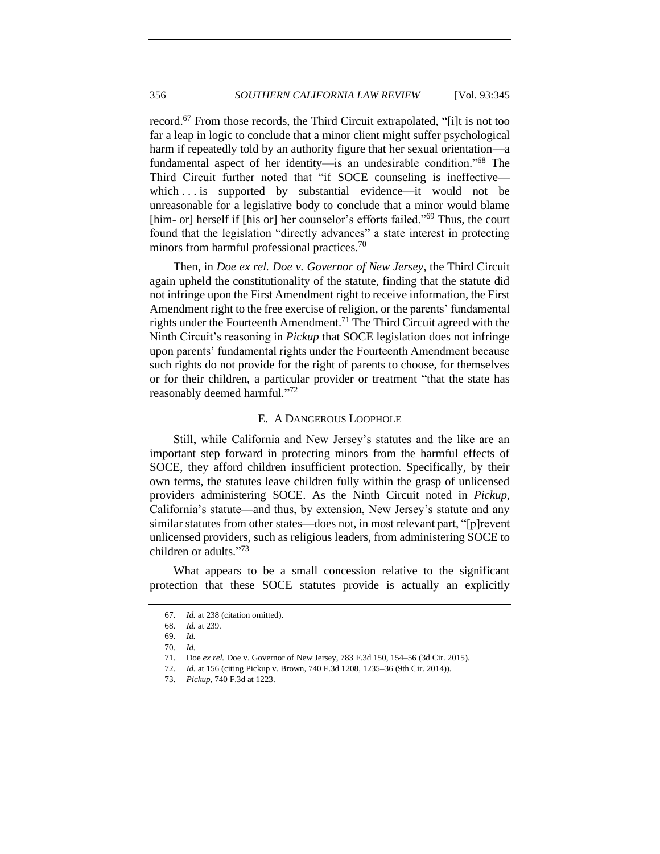record.<sup>67</sup> From those records, the Third Circuit extrapolated, "[i]t is not too far a leap in logic to conclude that a minor client might suffer psychological harm if repeatedly told by an authority figure that her sexual orientation—a fundamental aspect of her identity—is an undesirable condition."<sup>68</sup> The Third Circuit further noted that "if SOCE counseling is ineffective which . . is supported by substantial evidence—it would not be unreasonable for a legislative body to conclude that a minor would blame [him- or] herself if [his or] her counselor's efforts failed."<sup>69</sup> Thus, the court found that the legislation "directly advances" a state interest in protecting minors from harmful professional practices.<sup>70</sup>

Then, in *Doe ex rel. Doe v. Governor of New Jersey*, the Third Circuit again upheld the constitutionality of the statute, finding that the statute did not infringe upon the First Amendment right to receive information, the First Amendment right to the free exercise of religion, or the parents' fundamental rights under the Fourteenth Amendment.<sup>71</sup> The Third Circuit agreed with the Ninth Circuit's reasoning in *Pickup* that SOCE legislation does not infringe upon parents' fundamental rights under the Fourteenth Amendment because such rights do not provide for the right of parents to choose, for themselves or for their children, a particular provider or treatment "that the state has reasonably deemed harmful."72

#### E. A DANGEROUS LOOPHOLE

<span id="page-11-0"></span>Still, while California and New Jersey's statutes and the like are an important step forward in protecting minors from the harmful effects of SOCE, they afford children insufficient protection. Specifically, by their own terms, the statutes leave children fully within the grasp of unlicensed providers administering SOCE. As the Ninth Circuit noted in *Pickup*, California's statute—and thus, by extension, New Jersey's statute and any similar statutes from other states—does not, in most relevant part, "[p]revent unlicensed providers, such as religious leaders, from administering SOCE to children or adults." 73

What appears to be a small concession relative to the significant protection that these SOCE statutes provide is actually an explicitly

<sup>67</sup>*. Id.* at 238 (citation omitted).

<sup>68</sup>*. Id.* at 239.

<sup>69</sup>*. Id.*

<sup>70</sup>*. Id.*

<sup>71.</sup> Doe *ex rel.* Doe v. Governor of New Jersey, 783 F.3d 150, 154–56 (3d Cir. 2015).

<sup>72</sup>*. Id.* at 156 (citing Pickup v. Brown, 740 F.3d 1208, 1235–36 (9th Cir. 2014)).

<sup>73</sup>*. Pickup*, 740 F.3d at 1223.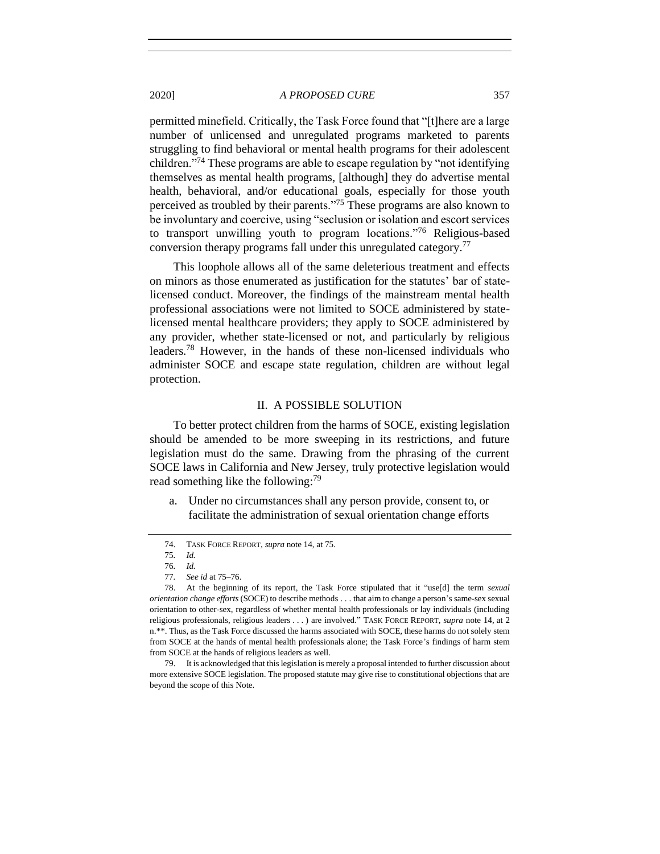permitted minefield. Critically, the Task Force found that "[t]here are a large number of unlicensed and unregulated programs marketed to parents struggling to find behavioral or mental health programs for their adolescent children."<sup>74</sup> These programs are able to escape regulation by "not identifying themselves as mental health programs, [although] they do advertise mental health, behavioral, and/or educational goals, especially for those youth perceived as troubled by their parents."<sup>75</sup> These programs are also known to be involuntary and coercive, using "seclusion or isolation and escort services to transport unwilling youth to program locations."<sup>76</sup> Religious-based conversion therapy programs fall under this unregulated category.<sup>77</sup>

This loophole allows all of the same deleterious treatment and effects on minors as those enumerated as justification for the statutes' bar of statelicensed conduct. Moreover, the findings of the mainstream mental health professional associations were not limited to SOCE administered by statelicensed mental healthcare providers; they apply to SOCE administered by any provider, whether state-licensed or not, and particularly by religious leaders.<sup>78</sup> However, in the hands of these non-licensed individuals who administer SOCE and escape state regulation, children are without legal protection.

#### II. A POSSIBLE SOLUTION

<span id="page-12-0"></span>To better protect children from the harms of SOCE, existing legislation should be amended to be more sweeping in its restrictions, and future legislation must do the same. Drawing from the phrasing of the current SOCE laws in California and New Jersey, truly protective legislation would read something like the following:<sup>79</sup>

a. Under no circumstances shall any person provide, consent to, or facilitate the administration of sexual orientation change efforts

<sup>74.</sup> TASK FORCE REPORT, *supra* note [14,](#page-4-2) at 75.

<sup>75</sup>*. Id.*

<sup>76</sup>*. Id.*

<sup>77</sup>*. See id* at 75–76.

<sup>78.</sup> At the beginning of its report, the Task Force stipulated that it "use[d] the term *sexual orientation change efforts* (SOCE) to describe methods . . . that aim to change a person's same-sex sexual orientation to other-sex, regardless of whether mental health professionals or lay individuals (including religious professionals, religious leaders . . . ) are involved." TASK FORCE REPORT, *supra* note [14,](#page-4-2) at 2 n.\*\*. Thus, as the Task Force discussed the harms associated with SOCE, these harms do not solely stem from SOCE at the hands of mental health professionals alone; the Task Force's findings of harm stem from SOCE at the hands of religious leaders as well.

<sup>79.</sup> It is acknowledged that this legislation is merely a proposal intended to further discussion about more extensive SOCE legislation. The proposed statute may give rise to constitutional objections that are beyond the scope of this Note.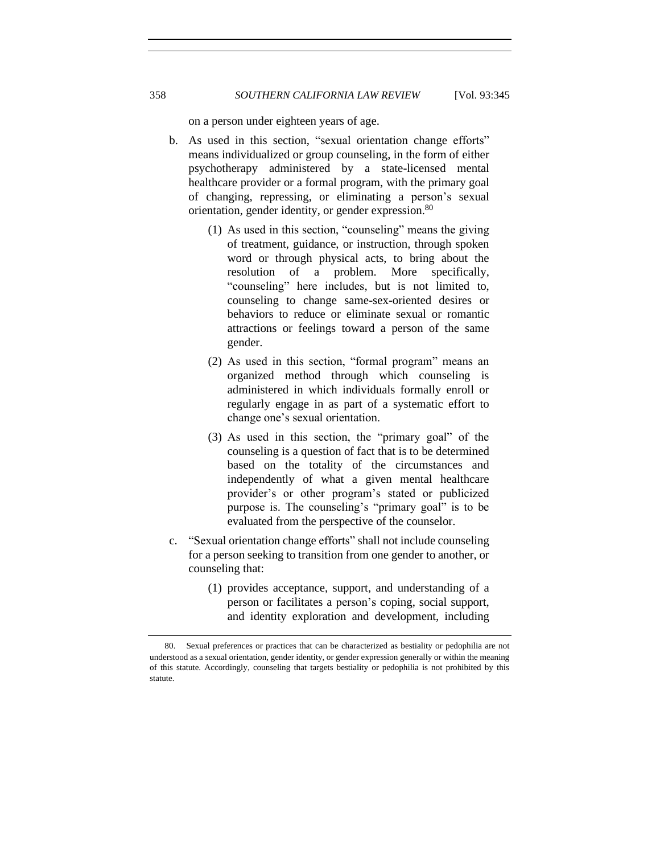on a person under eighteen years of age.

- b. As used in this section, "sexual orientation change efforts" means individualized or group counseling, in the form of either psychotherapy administered by a state-licensed mental healthcare provider or a formal program, with the primary goal of changing, repressing, or eliminating a person's sexual orientation, gender identity, or gender expression.<sup>80</sup>
	- (1) As used in this section, "counseling" means the giving of treatment, guidance, or instruction, through spoken word or through physical acts, to bring about the resolution of a problem. More specifically, "counseling" here includes, but is not limited to, counseling to change same-sex-oriented desires or behaviors to reduce or eliminate sexual or romantic attractions or feelings toward a person of the same gender.
	- (2) As used in this section, "formal program" means an organized method through which counseling is administered in which individuals formally enroll or regularly engage in as part of a systematic effort to change one's sexual orientation.
	- (3) As used in this section, the "primary goal" of the counseling is a question of fact that is to be determined based on the totality of the circumstances and independently of what a given mental healthcare provider's or other program's stated or publicized purpose is. The counseling's "primary goal" is to be evaluated from the perspective of the counselor.
- c. "Sexual orientation change efforts" shall not include counseling for a person seeking to transition from one gender to another, or counseling that:
	- (1) provides acceptance, support, and understanding of a person or facilitates a person's coping, social support, and identity exploration and development, including

<sup>80.</sup> Sexual preferences or practices that can be characterized as bestiality or pedophilia are not understood as a sexual orientation, gender identity, or gender expression generally or within the meaning of this statute. Accordingly, counseling that targets bestiality or pedophilia is not prohibited by this statute.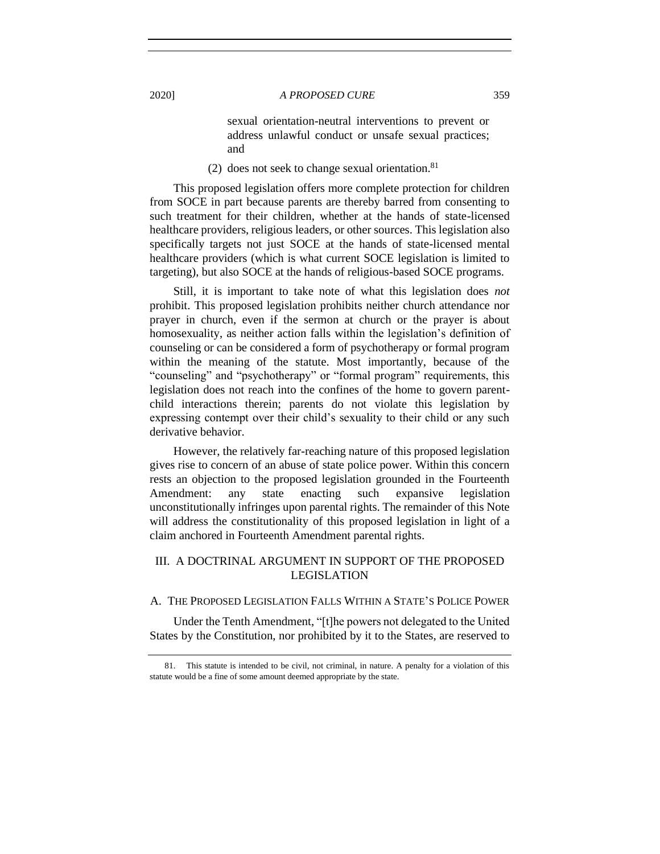sexual orientation-neutral interventions to prevent or address unlawful conduct or unsafe sexual practices; and

(2) does not seek to change sexual orientation.<sup>81</sup>

This proposed legislation offers more complete protection for children from SOCE in part because parents are thereby barred from consenting to such treatment for their children, whether at the hands of state-licensed healthcare providers, religious leaders, or other sources. This legislation also specifically targets not just SOCE at the hands of state-licensed mental healthcare providers (which is what current SOCE legislation is limited to targeting), but also SOCE at the hands of religious-based SOCE programs.

Still, it is important to take note of what this legislation does *not* prohibit. This proposed legislation prohibits neither church attendance nor prayer in church, even if the sermon at church or the prayer is about homosexuality, as neither action falls within the legislation's definition of counseling or can be considered a form of psychotherapy or formal program within the meaning of the statute. Most importantly, because of the "counseling" and "psychotherapy" or "formal program" requirements, this legislation does not reach into the confines of the home to govern parentchild interactions therein; parents do not violate this legislation by expressing contempt over their child's sexuality to their child or any such derivative behavior.

However, the relatively far-reaching nature of this proposed legislation gives rise to concern of an abuse of state police power. Within this concern rests an objection to the proposed legislation grounded in the Fourteenth Amendment: any state enacting such expansive legislation unconstitutionally infringes upon parental rights. The remainder of this Note will address the constitutionality of this proposed legislation in light of a claim anchored in Fourteenth Amendment parental rights.

# <span id="page-14-0"></span>III. A DOCTRINAL ARGUMENT IN SUPPORT OF THE PROPOSED LEGISLATION

## <span id="page-14-1"></span>A. THE PROPOSED LEGISLATION FALLS WITHIN A STATE'S POLICE POWER

Under the Tenth Amendment, "[t]he powers not delegated to the United States by the Constitution, nor prohibited by it to the States, are reserved to

<sup>81.</sup> This statute is intended to be civil, not criminal, in nature. A penalty for a violation of this statute would be a fine of some amount deemed appropriate by the state.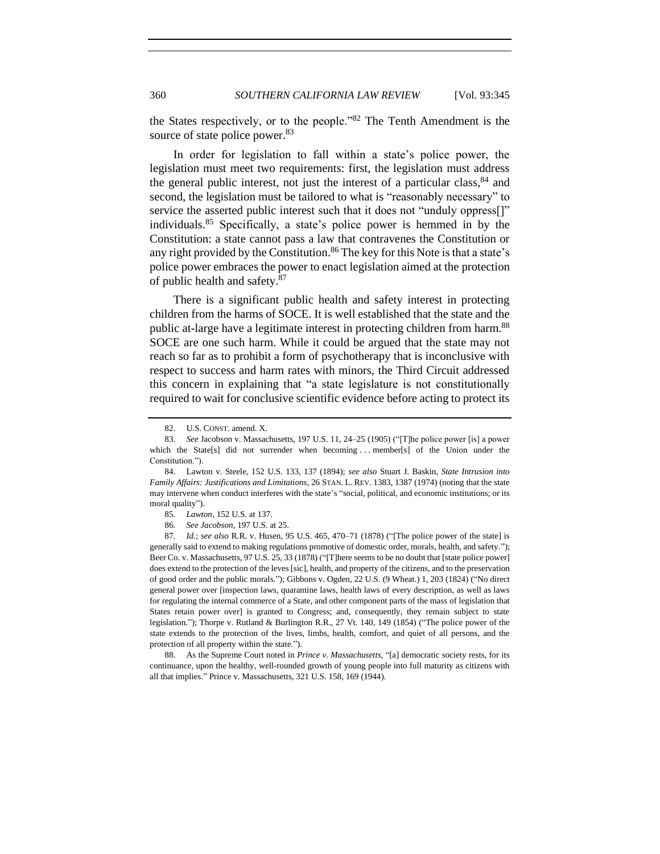the States respectively, or to the people."<sup>82</sup> The Tenth Amendment is the source of state police power.<sup>83</sup>

<span id="page-15-0"></span>In order for legislation to fall within a state's police power, the legislation must meet two requirements: first, the legislation must address the general public interest, not just the interest of a particular class,  $84$  and second, the legislation must be tailored to what is "reasonably necessary" to service the asserted public interest such that it does not "unduly oppress[]" individuals.<sup>85</sup> Specifically, a state's police power is hemmed in by the Constitution: a state cannot pass a law that contravenes the Constitution or any right provided by the Constitution.<sup>86</sup> The key for this Note is that a state's police power embraces the power to enact legislation aimed at the protection of public health and safety.<sup>87</sup>

There is a significant public health and safety interest in protecting children from the harms of SOCE. It is well established that the state and the public at-large have a legitimate interest in protecting children from harm.<sup>88</sup> SOCE are one such harm. While it could be argued that the state may not reach so far as to prohibit a form of psychotherapy that is inconclusive with respect to success and harm rates with minors, the Third Circuit addressed this concern in explaining that "a state legislature is not constitutionally required to wait for conclusive scientific evidence before acting to protect its

<sup>82.</sup> U.S. CONST. amend. X.

<sup>83.</sup> *See* Jacobson v. Massachusetts, 197 U.S. 11, 24–25 (1905) ("[T]he police power [is] a power which the State[s] did not surrender when becoming ... member[s] of the Union under the Constitution.").

<sup>84.</sup> Lawton v. Steele, 152 U.S. 133, 137 (1894); *see also* Stuart J. Baskin, *State Intrusion into Family Affairs: Justifications and Limitations*, 26 STAN. L. REV. 1383, 1387 (1974) (noting that the state may intervene when conduct interferes with the state's "social, political, and economic institutions; or its moral quality").

<sup>85</sup>*. Lawton*, 152 U.S. at 137.

<sup>86</sup>*. See Jacobson*, 197 U.S. at 25.

<sup>87</sup>*. Id.*; *see also* R.R. v. Husen, 95 U.S. 465, 470–71 (1878) ("[The police power of the state] is generally said to extend to making regulations promotive of domestic order, morals, health, and safety."); Beer Co. v. Massachusetts, 97 U.S. 25, 33 (1878) ("[T]here seems to be no doubt that [state police power] does extend to the protection of the leves [sic], health, and property of the citizens, and to the preservation of good order and the public morals."); Gibbons v. Ogden, 22 U.S. (9 Wheat.) 1, 203 (1824) ("No direct general power over [inspection laws, quarantine laws, health laws of every description, as well as laws for regulating the internal commerce of a State, and other component parts of the mass of legislation that States retain power over] is granted to Congress; and, consequently, they remain subject to state legislation."); Thorpe v. Rutland & Burlington R.R., 27 Vt. 140, 149 (1854) ("The police power of the state extends to the protection of the lives, limbs, health, comfort, and quiet of all persons, and the protection of all property within the state.").

<sup>88.</sup> As the Supreme Court noted in *Prince v. Massachusetts*, "[a] democratic society rests, for its continuance, upon the healthy, well-rounded growth of young people into full maturity as citizens with all that implies." Prince v. Massachusetts, 321 U.S. 158, 169 (1944).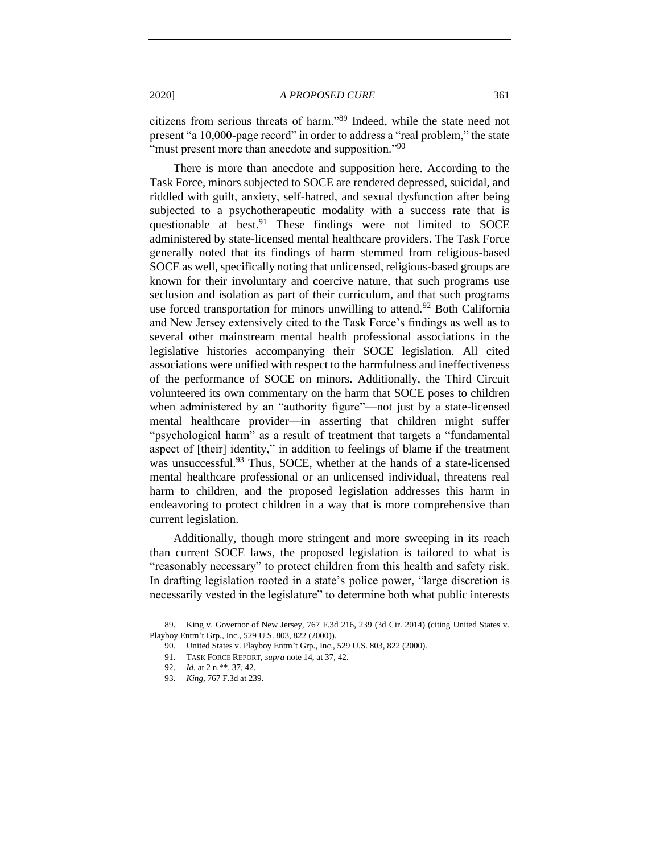citizens from serious threats of harm."<sup>89</sup> Indeed, while the state need not present "a 10,000-page record" in order to address a "real problem," the state "must present more than anecdote and supposition."<sup>90</sup>

There is more than anecdote and supposition here. According to the Task Force, minors subjected to SOCE are rendered depressed, suicidal, and riddled with guilt, anxiety, self-hatred, and sexual dysfunction after being subjected to a psychotherapeutic modality with a success rate that is questionable at best.<sup>91</sup> These findings were not limited to SOCE administered by state-licensed mental healthcare providers. The Task Force generally noted that its findings of harm stemmed from religious-based SOCE as well, specifically noting that unlicensed, religious-based groups are known for their involuntary and coercive nature, that such programs use seclusion and isolation as part of their curriculum, and that such programs use forced transportation for minors unwilling to attend.<sup>92</sup> Both California and New Jersey extensively cited to the Task Force's findings as well as to several other mainstream mental health professional associations in the legislative histories accompanying their SOCE legislation. All cited associations were unified with respect to the harmfulness and ineffectiveness of the performance of SOCE on minors. Additionally, the Third Circuit volunteered its own commentary on the harm that SOCE poses to children when administered by an "authority figure"—not just by a state-licensed mental healthcare provider—in asserting that children might suffer "psychological harm" as a result of treatment that targets a "fundamental aspect of [their] identity," in addition to feelings of blame if the treatment was unsuccessful.<sup>93</sup> Thus, SOCE, whether at the hands of a state-licensed mental healthcare professional or an unlicensed individual, threatens real harm to children, and the proposed legislation addresses this harm in endeavoring to protect children in a way that is more comprehensive than current legislation.

Additionally, though more stringent and more sweeping in its reach than current SOCE laws, the proposed legislation is tailored to what is "reasonably necessary" to protect children from this health and safety risk. In drafting legislation rooted in a state's police power, "large discretion is necessarily vested in the legislature" to determine both what public interests

<sup>89.</sup> King v. Governor of New Jersey, 767 F.3d 216, 239 (3d Cir. 2014) (citing United States v. Playboy Entm't Grp., Inc., 529 U.S. 803, 822 (2000)).

<sup>90</sup>*.* United States v. Playboy Entm't Grp., Inc., 529 U.S. 803, 822 (2000).

<sup>91.</sup> TASK FORCE REPORT, *supra* note [14,](#page-4-2) at 37, 42.

<sup>92</sup>*. Id.* at 2 n.\*\*, 37, 42.

<sup>93</sup>*. King*, 767 F.3d at 239.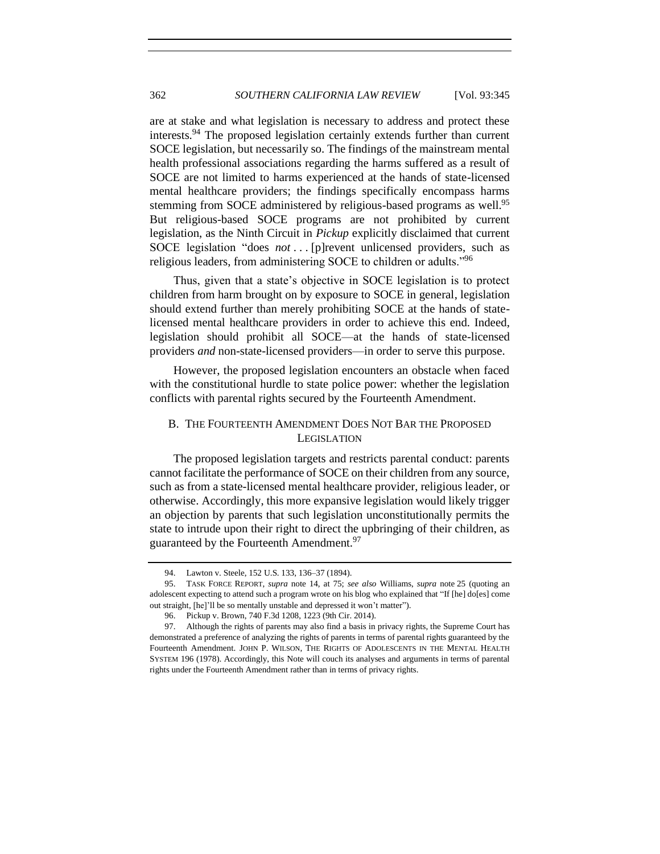are at stake and what legislation is necessary to address and protect these interests.<sup>94</sup> The proposed legislation certainly extends further than current SOCE legislation, but necessarily so. The findings of the mainstream mental health professional associations regarding the harms suffered as a result of SOCE are not limited to harms experienced at the hands of state-licensed mental healthcare providers; the findings specifically encompass harms stemming from SOCE administered by religious-based programs as well.<sup>95</sup> But religious-based SOCE programs are not prohibited by current legislation, as the Ninth Circuit in *Pickup* explicitly disclaimed that current SOCE legislation "does *not* . . . [p]revent unlicensed providers, such as religious leaders, from administering SOCE to children or adults."<sup>96</sup>

Thus, given that a state's objective in SOCE legislation is to protect children from harm brought on by exposure to SOCE in general, legislation should extend further than merely prohibiting SOCE at the hands of statelicensed mental healthcare providers in order to achieve this end. Indeed, legislation should prohibit all SOCE—at the hands of state-licensed providers *and* non-state-licensed providers—in order to serve this purpose.

However, the proposed legislation encounters an obstacle when faced with the constitutional hurdle to state police power: whether the legislation conflicts with parental rights secured by the Fourteenth Amendment.

# <span id="page-17-0"></span>B. THE FOURTEENTH AMENDMENT DOES NOT BAR THE PROPOSED LEGISLATION

The proposed legislation targets and restricts parental conduct: parents cannot facilitate the performance of SOCE on their children from any source, such as from a state-licensed mental healthcare provider, religious leader, or otherwise. Accordingly, this more expansive legislation would likely trigger an objection by parents that such legislation unconstitutionally permits the state to intrude upon their right to direct the upbringing of their children, as guaranteed by the Fourteenth Amendment.<sup>97</sup>

<sup>94.</sup> Lawton v. Steele, 152 U.S. 133, 136–37 (1894).

<sup>95.</sup> TASK FORCE REPORT, *supra* note [14,](#page-4-2) at 75; *see also* Williams, *supra* note [25](#page-5-0) (quoting an adolescent expecting to attend such a program wrote on his blog who explained that "If [he] do[es] come out straight, [he]'ll be so mentally unstable and depressed it won't matter").

<sup>96.</sup> Pickup v. Brown, 740 F.3d 1208, 1223 (9th Cir. 2014).

<sup>97.</sup> Although the rights of parents may also find a basis in privacy rights, the Supreme Court has demonstrated a preference of analyzing the rights of parents in terms of parental rights guaranteed by the Fourteenth Amendment. JOHN P. WILSON, THE RIGHTS OF ADOLESCENTS IN THE MENTAL HEALTH SYSTEM 196 (1978). Accordingly, this Note will couch its analyses and arguments in terms of parental rights under the Fourteenth Amendment rather than in terms of privacy rights.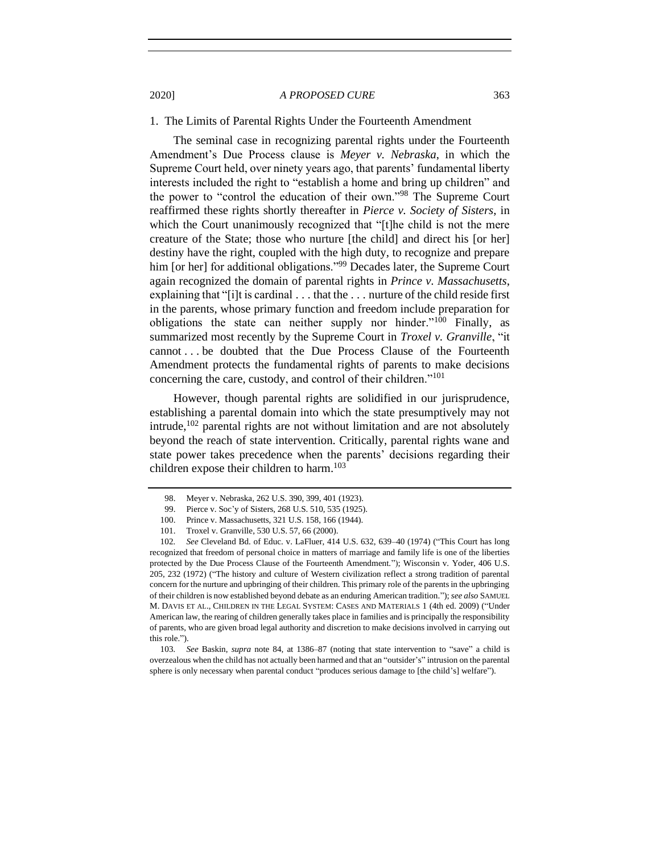#### <span id="page-18-0"></span>1. The Limits of Parental Rights Under the Fourteenth Amendment

The seminal case in recognizing parental rights under the Fourteenth Amendment's Due Process clause is *Meyer v. Nebraska*, in which the Supreme Court held, over ninety years ago, that parents' fundamental liberty interests included the right to "establish a home and bring up children" and the power to "control the education of their own."<sup>98</sup> The Supreme Court reaffirmed these rights shortly thereafter in *Pierce v. Society of Sisters*, in which the Court unanimously recognized that "[t]he child is not the mere creature of the State; those who nurture [the child] and direct his [or her] destiny have the right, coupled with the high duty, to recognize and prepare him [or her] for additional obligations."<sup>99</sup> Decades later, the Supreme Court again recognized the domain of parental rights in *Prince v. Massachusetts*, explaining that "[i]t is cardinal . . . that the . . . nurture of the child reside first in the parents, whose primary function and freedom include preparation for obligations the state can neither supply nor hinder."<sup>100</sup> Finally, as summarized most recently by the Supreme Court in *Troxel v. Granville*, "it cannot . . . be doubted that the Due Process Clause of the Fourteenth Amendment protects the fundamental rights of parents to make decisions concerning the care, custody, and control of their children."<sup>101</sup>

However, though parental rights are solidified in our jurisprudence, establishing a parental domain into which the state presumptively may not intrude, $102$  parental rights are not without limitation and are not absolutely beyond the reach of state intervention. Critically, parental rights wane and state power takes precedence when the parents' decisions regarding their children expose their children to harm.<sup>103</sup>

<sup>98.</sup> Meyer v. Nebraska, 262 U.S. 390, 399, 401 (1923).

<sup>99.</sup> Pierce v. Soc'y of Sisters, 268 U.S. 510, 535 (1925).

<sup>100.</sup> Prince v. Massachusetts, 321 U.S. 158, 166 (1944).

<sup>101.</sup> Troxel v. Granville, 530 U.S. 57, 66 (2000).

<sup>102</sup>*. See* Cleveland Bd. of Educ. v. LaFluer, 414 U.S. 632, 639–40 (1974) ("This Court has long recognized that freedom of personal choice in matters of marriage and family life is one of the liberties protected by the Due Process Clause of the Fourteenth Amendment."); Wisconsin v. Yoder, 406 U.S. 205, 232 (1972) ("The history and culture of Western civilization reflect a strong tradition of parental concern for the nurture and upbringing of their children. This primary role of the parents in the upbringing of their children is now established beyond debate as an enduring American tradition."); *see also* SAMUEL M. DAVIS ET AL., CHILDREN IN THE LEGAL SYSTEM: CASES AND MATERIALS 1 (4th ed. 2009) ("Under American law, the rearing of children generally takes place in families and is principally the responsibility of parents, who are given broad legal authority and discretion to make decisions involved in carrying out this role.").

<sup>103</sup>*. See* Baskin, *supra* note [84,](#page-15-0) at 1386–87 (noting that state intervention to "save" a child is overzealous when the child has not actually been harmed and that an "outsider's" intrusion on the parental sphere is only necessary when parental conduct "produces serious damage to [the child's] welfare").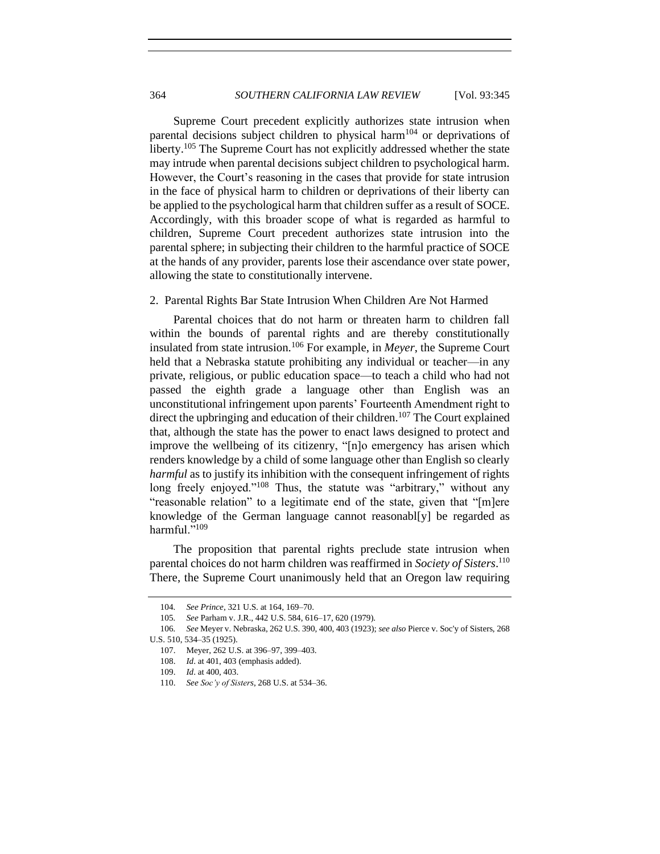Supreme Court precedent explicitly authorizes state intrusion when parental decisions subject children to physical harm<sup>104</sup> or deprivations of liberty.<sup>105</sup> The Supreme Court has not explicitly addressed whether the state may intrude when parental decisions subject children to psychological harm. However, the Court's reasoning in the cases that provide for state intrusion in the face of physical harm to children or deprivations of their liberty can be applied to the psychological harm that children suffer as a result of SOCE. Accordingly, with this broader scope of what is regarded as harmful to children, Supreme Court precedent authorizes state intrusion into the parental sphere; in subjecting their children to the harmful practice of SOCE at the hands of any provider, parents lose their ascendance over state power, allowing the state to constitutionally intervene.

#### <span id="page-19-0"></span>2. Parental Rights Bar State Intrusion When Children Are Not Harmed

Parental choices that do not harm or threaten harm to children fall within the bounds of parental rights and are thereby constitutionally insulated from state intrusion.<sup>106</sup> For example, in *Meyer*, the Supreme Court held that a Nebraska statute prohibiting any individual or teacher—in any private, religious, or public education space—to teach a child who had not passed the eighth grade a language other than English was an unconstitutional infringement upon parents' Fourteenth Amendment right to direct the upbringing and education of their children.<sup>107</sup> The Court explained that, although the state has the power to enact laws designed to protect and improve the wellbeing of its citizenry, "[n]o emergency has arisen which renders knowledge by a child of some language other than English so clearly *harmful* as to justify its inhibition with the consequent infringement of rights long freely enjoyed."<sup>108</sup> Thus, the statute was "arbitrary," without any "reasonable relation" to a legitimate end of the state, given that "[m]ere knowledge of the German language cannot reasonabl[y] be regarded as harmful."<sup>109</sup>

The proposition that parental rights preclude state intrusion when parental choices do not harm children was reaffirmed in *Society of Sisters*. 110 There, the Supreme Court unanimously held that an Oregon law requiring

<sup>104</sup>*. See Prince*, 321 U.S. at 164, 169–70.

<sup>105</sup>*. See* Parham v. J.R., 442 U.S. 584, 616–17, 620 (1979).

<sup>106</sup>*. See* Meyer v. Nebraska, 262 U.S. 390, 400, 403 (1923); *see also* Pierce v. Soc'y of Sisters, 268 U.S. 510, 534–35 (1925).

<sup>107.</sup> Meyer, 262 U.S. at 396–97, 399–403.

<sup>108.</sup> *Id*. at 401, 403 (emphasis added).

<sup>109.</sup> *Id*. at 400, 403.

<sup>110.</sup> *See Soc'y of Sisters*, 268 U.S. at 534–36.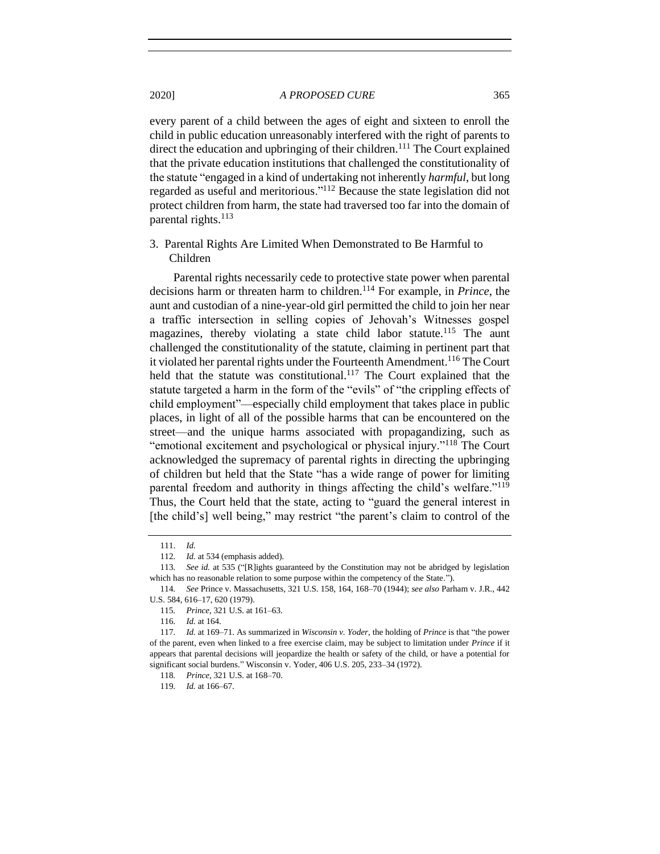every parent of a child between the ages of eight and sixteen to enroll the child in public education unreasonably interfered with the right of parents to direct the education and upbringing of their children.<sup>111</sup> The Court explained that the private education institutions that challenged the constitutionality of the statute "engaged in a kind of undertaking not inherently *harmful*, but long regarded as useful and meritorious."<sup>112</sup> Because the state legislation did not protect children from harm, the state had traversed too far into the domain of parental rights. $^{113}$ 

<span id="page-20-0"></span>3. Parental Rights Are Limited When Demonstrated to Be Harmful to Children

Parental rights necessarily cede to protective state power when parental decisions harm or threaten harm to children.<sup>114</sup> For example, in *Prince*, the aunt and custodian of a nine-year-old girl permitted the child to join her near a traffic intersection in selling copies of Jehovah's Witnesses gospel magazines, thereby violating a state child labor statute.<sup>115</sup> The aunt challenged the constitutionality of the statute, claiming in pertinent part that it violated her parental rights under the Fourteenth Amendment.<sup>116</sup> The Court held that the statute was constitutional.<sup>117</sup> The Court explained that the statute targeted a harm in the form of the "evils" of "the crippling effects of child employment"—especially child employment that takes place in public places, in light of all of the possible harms that can be encountered on the street—and the unique harms associated with propagandizing, such as "emotional excitement and psychological or physical injury."<sup>118</sup> The Court acknowledged the supremacy of parental rights in directing the upbringing of children but held that the State "has a wide range of power for limiting parental freedom and authority in things affecting the child's welfare."<sup>119</sup> Thus, the Court held that the state, acting to "guard the general interest in [the child's] well being," may restrict "the parent's claim to control of the

<sup>111.</sup> *Id.*

<sup>112</sup>*. Id.* at 534 (emphasis added).

<sup>113</sup>*. See id.* at 535 ("[R]ights guaranteed by the Constitution may not be abridged by legislation which has no reasonable relation to some purpose within the competency of the State.").

<sup>114</sup>*. See* Prince v. Massachusetts, 321 U.S. 158, 164, 168–70 (1944); *see also* Parham v. J.R., 442 U.S. 584, 616–17, 620 (1979).

<sup>115</sup>*. Prince*, 321 U.S. at 161–63.

<sup>116</sup>*. Id.* at 164.

<sup>117</sup>*. Id.* at 169–71. As summarized in *Wisconsin v. Yoder*, the holding of *Prince* is that "the power of the parent, even when linked to a free exercise claim, may be subject to limitation under *Prince* if it appears that parental decisions will jeopardize the health or safety of the child, or have a potential for significant social burdens." Wisconsin v. Yoder, 406 U.S. 205, 233–34 (1972).

<sup>118</sup>*. Prince*, 321 U.S. at 168–70.

<sup>119</sup>*. Id.* at 166–67.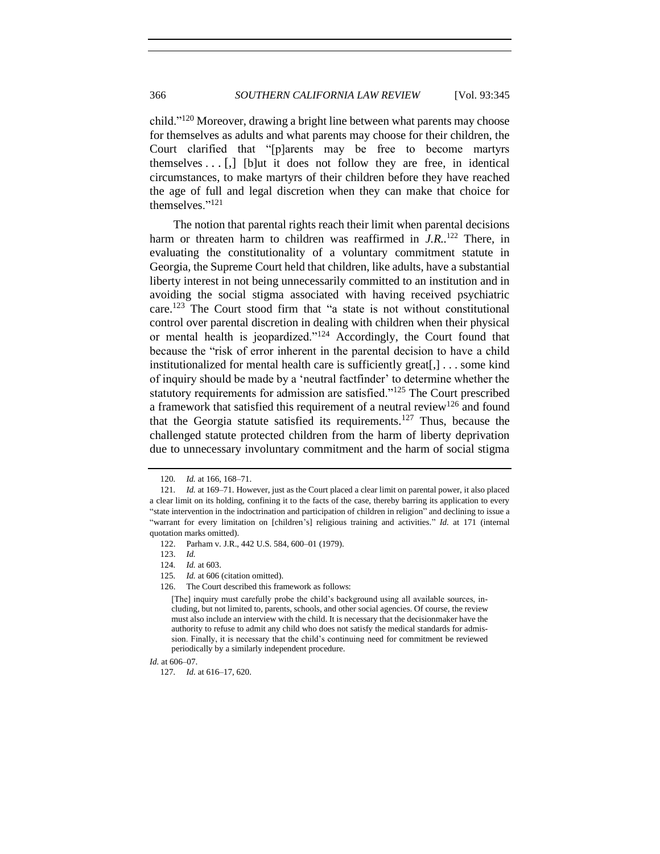child."<sup>120</sup> Moreover, drawing a bright line between what parents may choose for themselves as adults and what parents may choose for their children, the Court clarified that "[p]arents may be free to become martyrs themselves  $\ldots$  [,] [b]ut it does not follow they are free, in identical circumstances, to make martyrs of their children before they have reached the age of full and legal discretion when they can make that choice for themselves."<sup>121</sup>

The notion that parental rights reach their limit when parental decisions harm or threaten harm to children was reaffirmed in *J.R.*.<sup>122</sup> There, in evaluating the constitutionality of a voluntary commitment statute in Georgia, the Supreme Court held that children, like adults, have a substantial liberty interest in not being unnecessarily committed to an institution and in avoiding the social stigma associated with having received psychiatric care.<sup>123</sup> The Court stood firm that "a state is not without constitutional control over parental discretion in dealing with children when their physical or mental health is jeopardized."<sup>124</sup> Accordingly, the Court found that because the "risk of error inherent in the parental decision to have a child institutionalized for mental health care is sufficiently great[,] . . . some kind of inquiry should be made by a 'neutral factfinder' to determine whether the statutory requirements for admission are satisfied."<sup>125</sup> The Court prescribed a framework that satisfied this requirement of a neutral review<sup>126</sup> and found that the Georgia statute satisfied its requirements.<sup>127</sup> Thus, because the challenged statute protected children from the harm of liberty deprivation due to unnecessary involuntary commitment and the harm of social stigma

<sup>120</sup>*. Id.* at 166, 168–71.

<sup>121</sup>*. Id.* at 169–71. However, just as the Court placed a clear limit on parental power, it also placed a clear limit on its holding, confining it to the facts of the case, thereby barring its application to every "state intervention in the indoctrination and participation of children in religion" and declining to issue a "warrant for every limitation on [children's] religious training and activities." *Id.* at 171 (internal quotation marks omitted).

<sup>122.</sup> Parham v. J.R., 442 U.S. 584, 600–01 (1979).

<sup>123.</sup> *Id.*

<sup>124</sup>*. Id.* at 603.

<sup>125</sup>*. Id.* at 606 (citation omitted).

<sup>126.</sup> The Court described this framework as follows:

<sup>[</sup>The] inquiry must carefully probe the child's background using all available sources, including, but not limited to, parents, schools, and other social agencies. Of course, the review must also include an interview with the child. It is necessary that the decisionmaker have the authority to refuse to admit any child who does not satisfy the medical standards for admission. Finally, it is necessary that the child's continuing need for commitment be reviewed periodically by a similarly independent procedure.

*Id.* at 606–07.

<sup>127</sup>*. Id.* at 616–17, 620.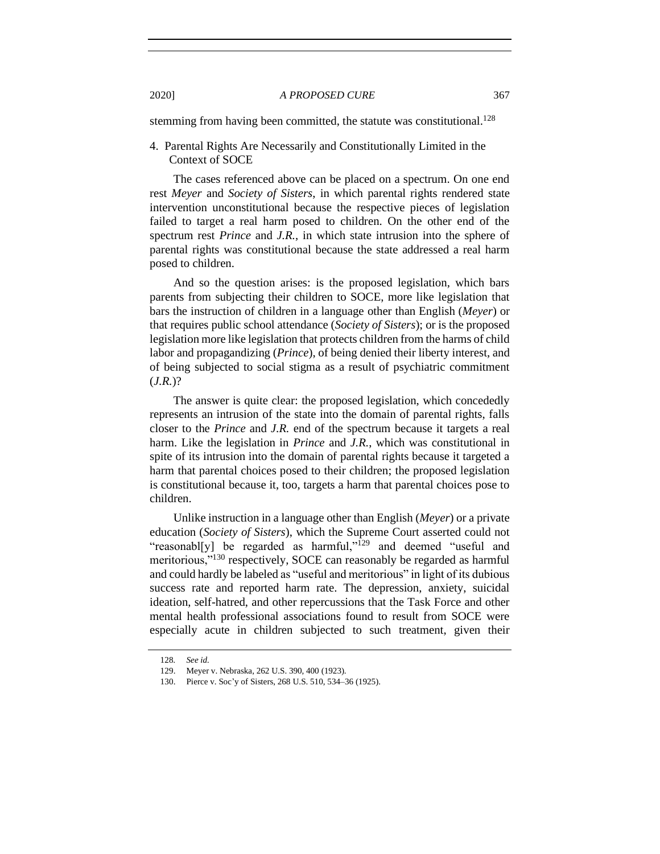stemming from having been committed, the statute was constitutional.<sup>128</sup>

<span id="page-22-0"></span>4. Parental Rights Are Necessarily and Constitutionally Limited in the Context of SOCE

The cases referenced above can be placed on a spectrum. On one end rest *Meyer* and *Society of Sisters*, in which parental rights rendered state intervention unconstitutional because the respective pieces of legislation failed to target a real harm posed to children. On the other end of the spectrum rest *Prince* and *J.R.*, in which state intrusion into the sphere of parental rights was constitutional because the state addressed a real harm posed to children.

And so the question arises: is the proposed legislation, which bars parents from subjecting their children to SOCE, more like legislation that bars the instruction of children in a language other than English (*Meyer*) or that requires public school attendance (*Society of Sisters*); or is the proposed legislation more like legislation that protects children from the harms of child labor and propagandizing (*Prince*), of being denied their liberty interest, and of being subjected to social stigma as a result of psychiatric commitment (*J.R.*)?

The answer is quite clear: the proposed legislation, which concededly represents an intrusion of the state into the domain of parental rights, falls closer to the *Prince* and *J.R.* end of the spectrum because it targets a real harm. Like the legislation in *Prince* and *J.R.*, which was constitutional in spite of its intrusion into the domain of parental rights because it targeted a harm that parental choices posed to their children; the proposed legislation is constitutional because it, too, targets a harm that parental choices pose to children.

Unlike instruction in a language other than English (*Meyer*) or a private education (*Society of Sisters*), which the Supreme Court asserted could not "reasonabl[y] be regarded as harmful," $129$  and deemed "useful and meritorious,"<sup>130</sup> respectively, SOCE can reasonably be regarded as harmful and could hardly be labeled as "useful and meritorious" in light of its dubious success rate and reported harm rate. The depression, anxiety, suicidal ideation, self-hatred, and other repercussions that the Task Force and other mental health professional associations found to result from SOCE were especially acute in children subjected to such treatment, given their

<sup>128</sup>*. See id.*

<sup>129.</sup> Meyer v. Nebraska, 262 U.S. 390, 400 (1923).

<sup>130.</sup> Pierce v. Soc'y of Sisters, 268 U.S. 510, 534–36 (1925).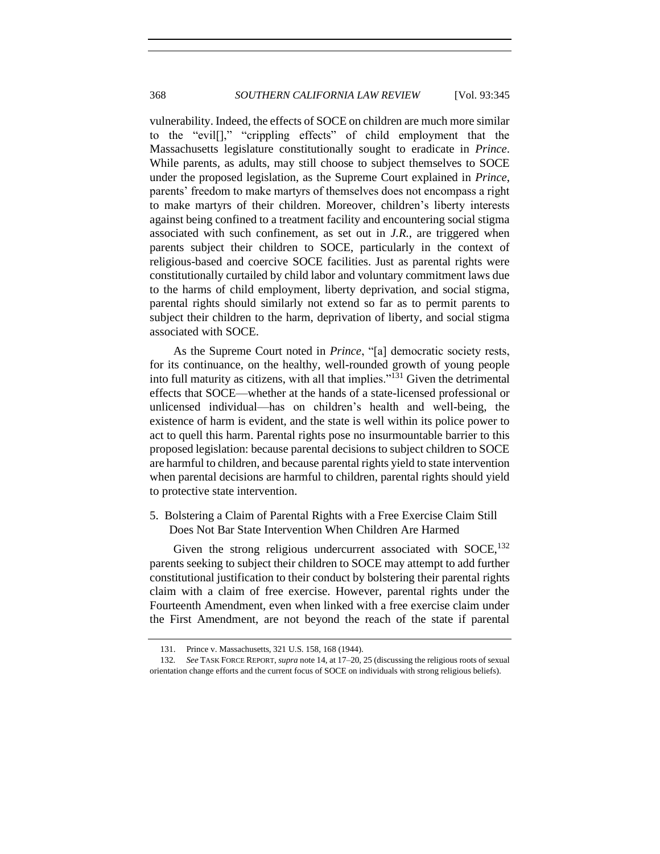vulnerability. Indeed, the effects of SOCE on children are much more similar to the "evil[]," "crippling effects" of child employment that the Massachusetts legislature constitutionally sought to eradicate in *Prince*. While parents, as adults, may still choose to subject themselves to SOCE under the proposed legislation, as the Supreme Court explained in *Prince*, parents' freedom to make martyrs of themselves does not encompass a right to make martyrs of their children. Moreover, children's liberty interests against being confined to a treatment facility and encountering social stigma associated with such confinement, as set out in *J.R.*, are triggered when parents subject their children to SOCE, particularly in the context of religious-based and coercive SOCE facilities. Just as parental rights were constitutionally curtailed by child labor and voluntary commitment laws due to the harms of child employment, liberty deprivation, and social stigma, parental rights should similarly not extend so far as to permit parents to subject their children to the harm, deprivation of liberty, and social stigma associated with SOCE.

As the Supreme Court noted in *Prince*, "[a] democratic society rests, for its continuance, on the healthy, well-rounded growth of young people into full maturity as citizens, with all that implies."<sup>131</sup> Given the detrimental effects that SOCE—whether at the hands of a state-licensed professional or unlicensed individual—has on children's health and well-being, the existence of harm is evident, and the state is well within its police power to act to quell this harm. Parental rights pose no insurmountable barrier to this proposed legislation: because parental decisions to subject children to SOCE are harmful to children, and because parental rights yield to state intervention when parental decisions are harmful to children, parental rights should yield to protective state intervention.

<span id="page-23-0"></span>5. Bolstering a Claim of Parental Rights with a Free Exercise Claim Still Does Not Bar State Intervention When Children Are Harmed

Given the strong religious undercurrent associated with  $SOCE$ ,  $^{132}$ parents seeking to subject their children to SOCE may attempt to add further constitutional justification to their conduct by bolstering their parental rights claim with a claim of free exercise. However, parental rights under the Fourteenth Amendment, even when linked with a free exercise claim under the First Amendment, are not beyond the reach of the state if parental

<sup>131.</sup> Prince v. Massachusetts, 321 U.S. 158, 168 (1944).

<sup>132</sup>*. See* TASK FORCE REPORT, *supra* note [14,](#page-4-2) at 17–20, 25 (discussing the religious roots of sexual orientation change efforts and the current focus of SOCE on individuals with strong religious beliefs).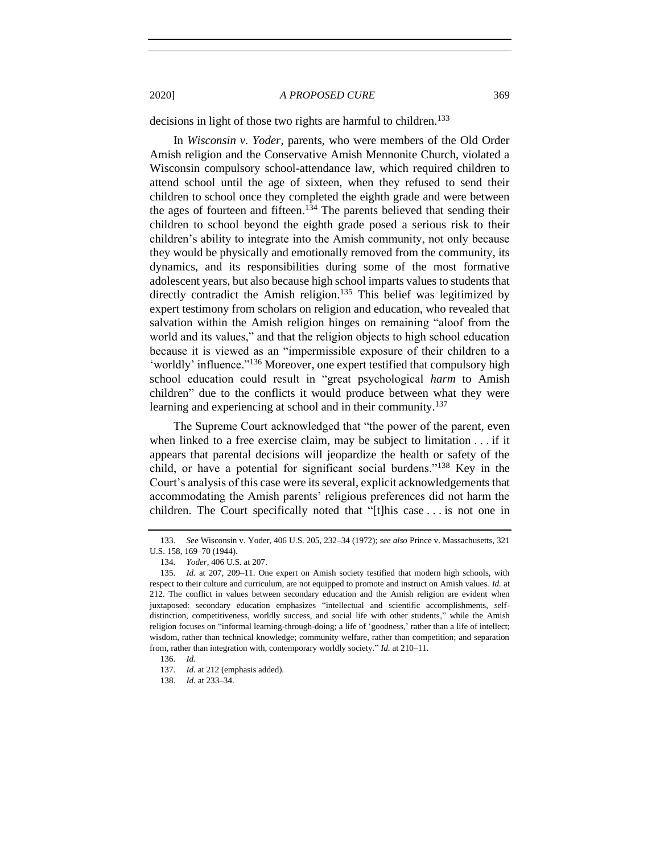decisions in light of those two rights are harmful to children.<sup>133</sup>

In *Wisconsin v. Yoder*, parents, who were members of the Old Order Amish religion and the Conservative Amish Mennonite Church, violated a Wisconsin compulsory school-attendance law, which required children to attend school until the age of sixteen, when they refused to send their children to school once they completed the eighth grade and were between the ages of fourteen and fifteen.<sup>134</sup> The parents believed that sending their children to school beyond the eighth grade posed a serious risk to their children's ability to integrate into the Amish community, not only because they would be physically and emotionally removed from the community, its dynamics, and its responsibilities during some of the most formative adolescent years, but also because high school imparts values to students that directly contradict the Amish religion.<sup>135</sup> This belief was legitimized by expert testimony from scholars on religion and education, who revealed that salvation within the Amish religion hinges on remaining "aloof from the world and its values," and that the religion objects to high school education because it is viewed as an "impermissible exposure of their children to a 'worldly' influence."<sup>136</sup> Moreover, one expert testified that compulsory high school education could result in "great psychological *harm* to Amish children" due to the conflicts it would produce between what they were learning and experiencing at school and in their community.<sup>137</sup>

The Supreme Court acknowledged that "the power of the parent, even when linked to a free exercise claim, may be subject to limitation . . . if it appears that parental decisions will jeopardize the health or safety of the child, or have a potential for significant social burdens."<sup>138</sup> Key in the Court's analysis of this case were its several, explicit acknowledgements that accommodating the Amish parents' religious preferences did not harm the children. The Court specifically noted that "[t]his case . . . is not one in

<sup>133</sup>*. See* Wisconsin v. Yoder, 406 U.S. 205, 232–34 (1972); *see also* Prince v. Massachusetts, 321 U.S. 158, 169–70 (1944).

<sup>134</sup>*. Yoder*, 406 U.S. at 207.

<sup>135</sup>*. Id.* at 207, 209–11. One expert on Amish society testified that modern high schools, with respect to their culture and curriculum, are not equipped to promote and instruct on Amish values. *Id.* at 212. The conflict in values between secondary education and the Amish religion are evident when juxtaposed: secondary education emphasizes "intellectual and scientific accomplishments, selfdistinction, competitiveness, worldly success, and social life with other students," while the Amish religion focuses on "informal learning-through-doing; a life of 'goodness,' rather than a life of intellect; wisdom, rather than technical knowledge; community welfare, rather than competition; and separation from, rather than integration with, contemporary worldly society." *Id.* at 210–11.

<sup>136</sup>*. Id.*

<sup>137</sup>*. Id.* at 212 (emphasis added).

<sup>138</sup>*. Id.* at 233–34.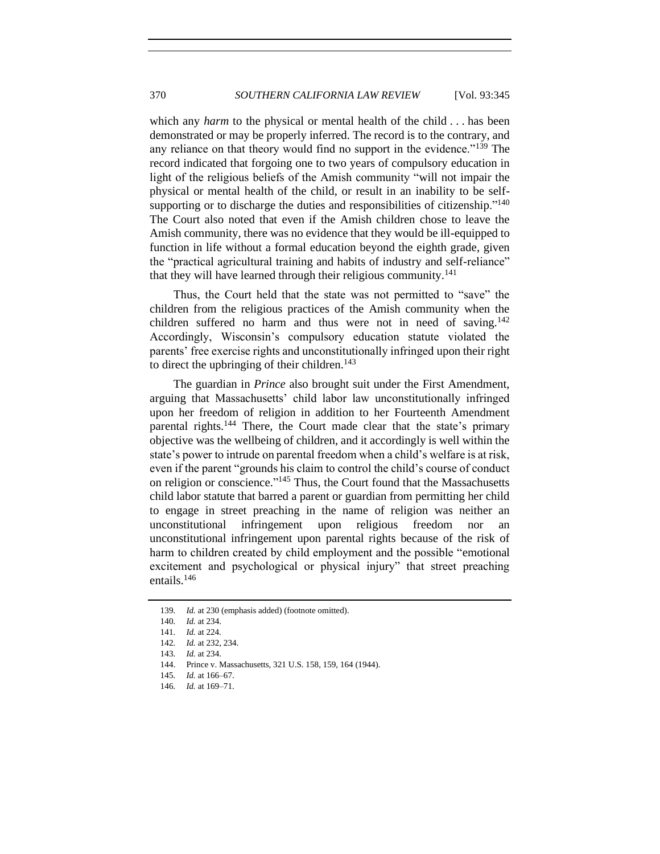which any *harm* to the physical or mental health of the child . . . has been demonstrated or may be properly inferred. The record is to the contrary, and any reliance on that theory would find no support in the evidence."<sup>139</sup> The record indicated that forgoing one to two years of compulsory education in light of the religious beliefs of the Amish community "will not impair the physical or mental health of the child, or result in an inability to be selfsupporting or to discharge the duties and responsibilities of citizenship."<sup>140</sup> The Court also noted that even if the Amish children chose to leave the Amish community, there was no evidence that they would be ill-equipped to function in life without a formal education beyond the eighth grade, given the "practical agricultural training and habits of industry and self-reliance" that they will have learned through their religious community.<sup>141</sup>

Thus, the Court held that the state was not permitted to "save" the children from the religious practices of the Amish community when the children suffered no harm and thus were not in need of saving.<sup>142</sup> Accordingly, Wisconsin's compulsory education statute violated the parents' free exercise rights and unconstitutionally infringed upon their right to direct the upbringing of their children.<sup>143</sup>

The guardian in *Prince* also brought suit under the First Amendment, arguing that Massachusetts' child labor law unconstitutionally infringed upon her freedom of religion in addition to her Fourteenth Amendment parental rights.<sup>144</sup> There, the Court made clear that the state's primary objective was the wellbeing of children, and it accordingly is well within the state's power to intrude on parental freedom when a child's welfare is at risk, even if the parent "grounds his claim to control the child's course of conduct on religion or conscience."<sup>145</sup> Thus, the Court found that the Massachusetts child labor statute that barred a parent or guardian from permitting her child to engage in street preaching in the name of religion was neither an unconstitutional infringement upon religious freedom nor an unconstitutional infringement upon parental rights because of the risk of harm to children created by child employment and the possible "emotional excitement and psychological or physical injury" that street preaching entails.<sup>146</sup>

<sup>139</sup>*. Id.* at 230 (emphasis added) (footnote omitted).

<sup>140</sup>*. Id.* at 234.

<sup>141</sup>*. Id.* at 224.

<sup>142</sup>*. Id.* at 232, 234.

<sup>143</sup>*. Id.* at 234.

<sup>144.</sup> Prince v. Massachusetts, 321 U.S. 158, 159, 164 (1944).

<sup>145</sup>*. Id.* at 166–67.

<sup>146</sup>*. Id.* at 169–71.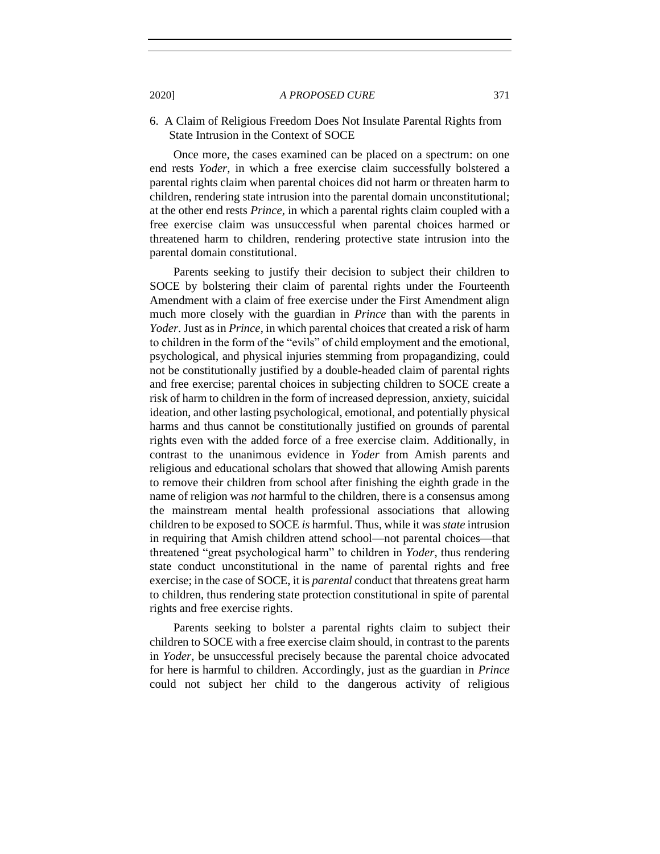## <span id="page-26-0"></span>6. A Claim of Religious Freedom Does Not Insulate Parental Rights from State Intrusion in the Context of SOCE

Once more, the cases examined can be placed on a spectrum: on one end rests *Yoder*, in which a free exercise claim successfully bolstered a parental rights claim when parental choices did not harm or threaten harm to children, rendering state intrusion into the parental domain unconstitutional; at the other end rests *Prince*, in which a parental rights claim coupled with a free exercise claim was unsuccessful when parental choices harmed or threatened harm to children, rendering protective state intrusion into the parental domain constitutional.

Parents seeking to justify their decision to subject their children to SOCE by bolstering their claim of parental rights under the Fourteenth Amendment with a claim of free exercise under the First Amendment align much more closely with the guardian in *Prince* than with the parents in *Yoder*. Just as in *Prince*, in which parental choices that created a risk of harm to children in the form of the "evils" of child employment and the emotional, psychological, and physical injuries stemming from propagandizing, could not be constitutionally justified by a double-headed claim of parental rights and free exercise; parental choices in subjecting children to SOCE create a risk of harm to children in the form of increased depression, anxiety, suicidal ideation, and other lasting psychological, emotional, and potentially physical harms and thus cannot be constitutionally justified on grounds of parental rights even with the added force of a free exercise claim. Additionally, in contrast to the unanimous evidence in *Yoder* from Amish parents and religious and educational scholars that showed that allowing Amish parents to remove their children from school after finishing the eighth grade in the name of religion was *not* harmful to the children, there is a consensus among the mainstream mental health professional associations that allowing children to be exposed to SOCE *is* harmful. Thus, while it was *state* intrusion in requiring that Amish children attend school—not parental choices—that threatened "great psychological harm" to children in *Yoder*, thus rendering state conduct unconstitutional in the name of parental rights and free exercise; in the case of SOCE, it is *parental* conduct that threatens great harm to children, thus rendering state protection constitutional in spite of parental rights and free exercise rights.

Parents seeking to bolster a parental rights claim to subject their children to SOCE with a free exercise claim should, in contrast to the parents in *Yoder*, be unsuccessful precisely because the parental choice advocated for here is harmful to children. Accordingly, just as the guardian in *Prince* could not subject her child to the dangerous activity of religious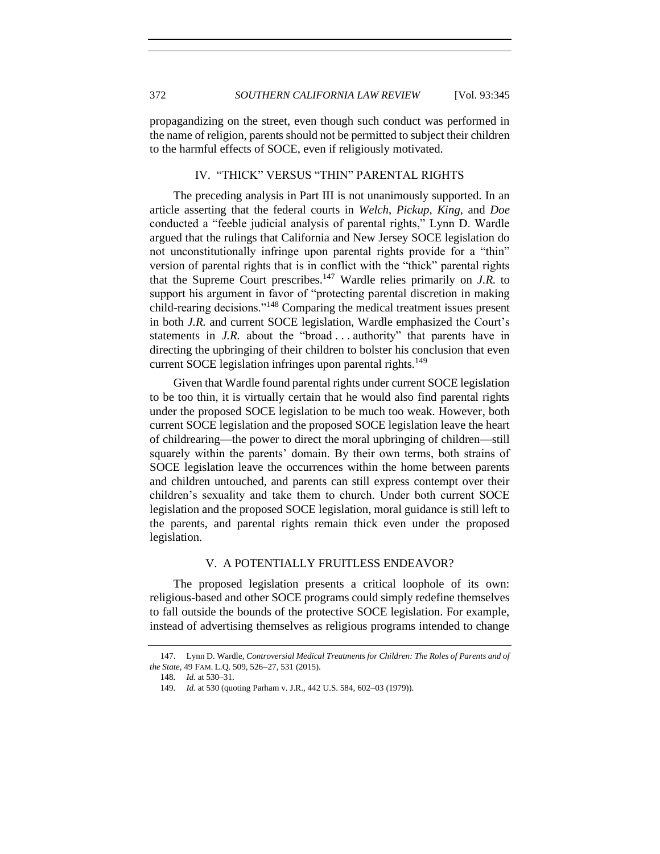propagandizing on the street, even though such conduct was performed in the name of religion, parents should not be permitted to subject their children to the harmful effects of SOCE, even if religiously motivated.

# IV. "THICK" VERSUS "THIN" PARENTAL RIGHTS

<span id="page-27-0"></span>The preceding analysis in Part III is not unanimously supported. In an article asserting that the federal courts in *Welch*, *Pickup*, *King*, and *Doe* conducted a "feeble judicial analysis of parental rights," Lynn D. Wardle argued that the rulings that California and New Jersey SOCE legislation do not unconstitutionally infringe upon parental rights provide for a "thin" version of parental rights that is in conflict with the "thick" parental rights that the Supreme Court prescribes.<sup>147</sup> Wardle relies primarily on *J.R.* to support his argument in favor of "protecting parental discretion in making child-rearing decisions."<sup>148</sup> Comparing the medical treatment issues present in both *J.R.* and current SOCE legislation, Wardle emphasized the Court's statements in *J.R.* about the "broad . . . authority" that parents have in directing the upbringing of their children to bolster his conclusion that even current SOCE legislation infringes upon parental rights.<sup>149</sup>

Given that Wardle found parental rights under current SOCE legislation to be too thin, it is virtually certain that he would also find parental rights under the proposed SOCE legislation to be much too weak. However, both current SOCE legislation and the proposed SOCE legislation leave the heart of childrearing—the power to direct the moral upbringing of children—still squarely within the parents' domain. By their own terms, both strains of SOCE legislation leave the occurrences within the home between parents and children untouched, and parents can still express contempt over their children's sexuality and take them to church. Under both current SOCE legislation and the proposed SOCE legislation, moral guidance is still left to the parents, and parental rights remain thick even under the proposed legislation.

## V. A POTENTIALLY FRUITLESS ENDEAVOR?

<span id="page-27-1"></span>The proposed legislation presents a critical loophole of its own: religious-based and other SOCE programs could simply redefine themselves to fall outside the bounds of the protective SOCE legislation. For example, instead of advertising themselves as religious programs intended to change

<sup>147.</sup> Lynn D. Wardle, *Controversial Medical Treatments for Children: The Roles of Parents and of the State*, 49 FAM. L.Q. 509, 526−27, 531 (2015).

<sup>148</sup>*. Id.* at 530–31.

<sup>149</sup>*. Id.* at 530 (quoting Parham v. J.R., 442 U.S. 584, 602−03 (1979)).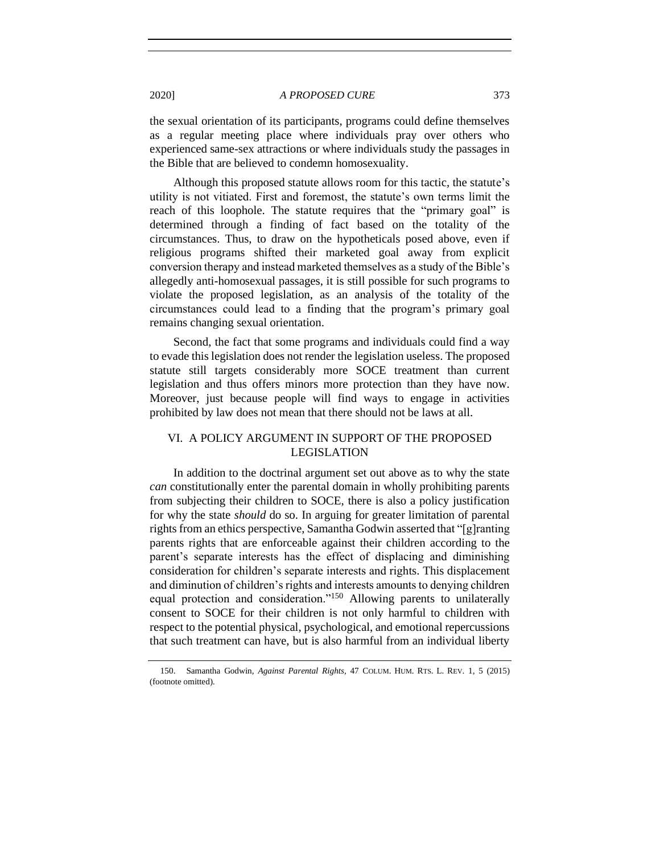the sexual orientation of its participants, programs could define themselves as a regular meeting place where individuals pray over others who experienced same-sex attractions or where individuals study the passages in the Bible that are believed to condemn homosexuality.

Although this proposed statute allows room for this tactic, the statute's utility is not vitiated. First and foremost, the statute's own terms limit the reach of this loophole. The statute requires that the "primary goal" is determined through a finding of fact based on the totality of the circumstances. Thus, to draw on the hypotheticals posed above, even if religious programs shifted their marketed goal away from explicit conversion therapy and instead marketed themselves as a study of the Bible's allegedly anti-homosexual passages, it is still possible for such programs to violate the proposed legislation, as an analysis of the totality of the circumstances could lead to a finding that the program's primary goal remains changing sexual orientation.

Second, the fact that some programs and individuals could find a way to evade this legislation does not render the legislation useless. The proposed statute still targets considerably more SOCE treatment than current legislation and thus offers minors more protection than they have now. Moreover, just because people will find ways to engage in activities prohibited by law does not mean that there should not be laws at all.

# <span id="page-28-0"></span>VI. A POLICY ARGUMENT IN SUPPORT OF THE PROPOSED LEGISLATION

In addition to the doctrinal argument set out above as to why the state *can* constitutionally enter the parental domain in wholly prohibiting parents from subjecting their children to SOCE, there is also a policy justification for why the state *should* do so. In arguing for greater limitation of parental rights from an ethics perspective, Samantha Godwin asserted that "[g]ranting parents rights that are enforceable against their children according to the parent's separate interests has the effect of displacing and diminishing consideration for children's separate interests and rights. This displacement and diminution of children's rights and interests amounts to denying children equal protection and consideration."<sup>150</sup> Allowing parents to unilaterally consent to SOCE for their children is not only harmful to children with respect to the potential physical, psychological, and emotional repercussions that such treatment can have, but is also harmful from an individual liberty

<sup>150.</sup> Samantha Godwin, *Against Parental Rights*, 47 COLUM. HUM. RTS. L. REV. 1, 5 (2015) (footnote omitted).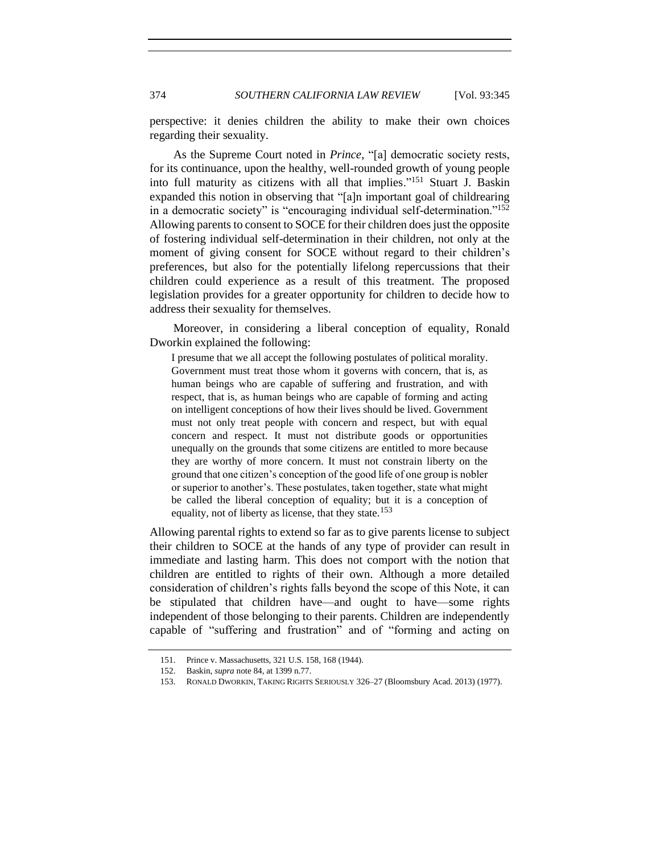perspective: it denies children the ability to make their own choices regarding their sexuality.

As the Supreme Court noted in *Prince*, "[a] democratic society rests, for its continuance, upon the healthy, well-rounded growth of young people into full maturity as citizens with all that implies."<sup>151</sup> Stuart J. Baskin expanded this notion in observing that "[a]n important goal of childrearing in a democratic society" is "encouraging individual self-determination."<sup>152</sup> Allowing parents to consent to SOCE for their children does just the opposite of fostering individual self-determination in their children, not only at the moment of giving consent for SOCE without regard to their children's preferences, but also for the potentially lifelong repercussions that their children could experience as a result of this treatment. The proposed legislation provides for a greater opportunity for children to decide how to address their sexuality for themselves.

Moreover, in considering a liberal conception of equality, Ronald Dworkin explained the following:

I presume that we all accept the following postulates of political morality. Government must treat those whom it governs with concern, that is, as human beings who are capable of suffering and frustration, and with respect, that is, as human beings who are capable of forming and acting on intelligent conceptions of how their lives should be lived. Government must not only treat people with concern and respect, but with equal concern and respect. It must not distribute goods or opportunities unequally on the grounds that some citizens are entitled to more because they are worthy of more concern. It must not constrain liberty on the ground that one citizen's conception of the good life of one group is nobler or superior to another's. These postulates, taken together, state what might be called the liberal conception of equality; but it is a conception of equality, not of liberty as license, that they state.<sup>153</sup>

Allowing parental rights to extend so far as to give parents license to subject their children to SOCE at the hands of any type of provider can result in immediate and lasting harm. This does not comport with the notion that children are entitled to rights of their own. Although a more detailed consideration of children's rights falls beyond the scope of this Note, it can be stipulated that children have—and ought to have—some rights independent of those belonging to their parents. Children are independently capable of "suffering and frustration" and of "forming and acting on

<sup>151.</sup> Prince v. Massachusetts, 321 U.S. 158, 168 (1944).

<sup>152.</sup> Baskin, *supra* note [84,](#page-15-0) at 1399 n.77.

<sup>153.</sup> RONALD DWORKIN, TAKING RIGHTS SERIOUSLY 326–27 (Bloomsbury Acad. 2013) (1977).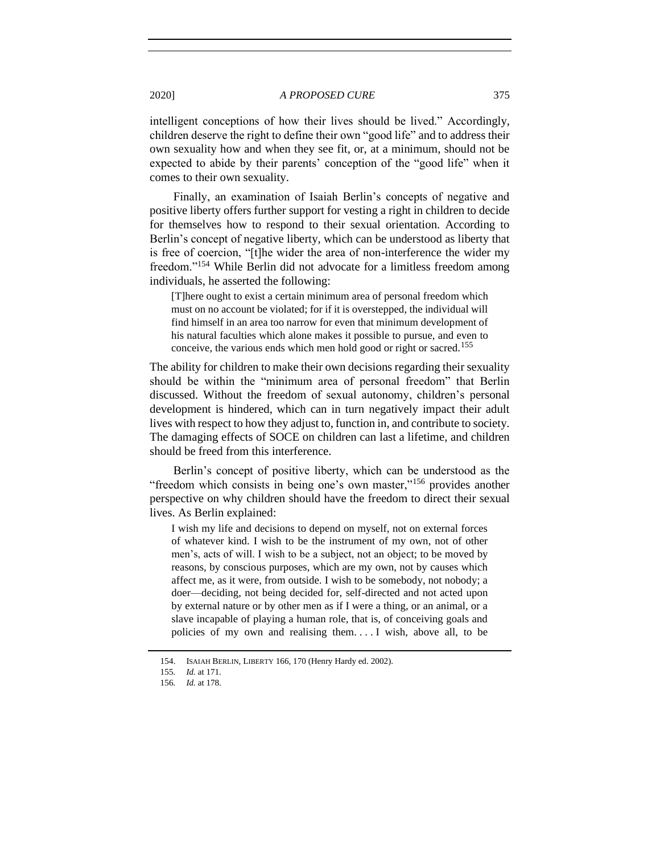intelligent conceptions of how their lives should be lived." Accordingly, children deserve the right to define their own "good life" and to address their own sexuality how and when they see fit, or, at a minimum, should not be expected to abide by their parents' conception of the "good life" when it comes to their own sexuality.

Finally, an examination of Isaiah Berlin's concepts of negative and positive liberty offers further support for vesting a right in children to decide for themselves how to respond to their sexual orientation. According to Berlin's concept of negative liberty, which can be understood as liberty that is free of coercion, "[t]he wider the area of non-interference the wider my freedom."<sup>154</sup> While Berlin did not advocate for a limitless freedom among individuals, he asserted the following:

[T]here ought to exist a certain minimum area of personal freedom which must on no account be violated; for if it is overstepped, the individual will find himself in an area too narrow for even that minimum development of his natural faculties which alone makes it possible to pursue, and even to conceive, the various ends which men hold good or right or sacred.<sup>155</sup>

The ability for children to make their own decisions regarding their sexuality should be within the "minimum area of personal freedom" that Berlin discussed. Without the freedom of sexual autonomy, children's personal development is hindered, which can in turn negatively impact their adult lives with respect to how they adjust to, function in, and contribute to society. The damaging effects of SOCE on children can last a lifetime, and children should be freed from this interference.

Berlin's concept of positive liberty, which can be understood as the "freedom which consists in being one's own master,"<sup>156</sup> provides another perspective on why children should have the freedom to direct their sexual lives. As Berlin explained:

I wish my life and decisions to depend on myself, not on external forces of whatever kind. I wish to be the instrument of my own, not of other men's, acts of will. I wish to be a subject, not an object; to be moved by reasons, by conscious purposes, which are my own, not by causes which affect me, as it were, from outside. I wish to be somebody, not nobody; a doer—deciding, not being decided for, self-directed and not acted upon by external nature or by other men as if I were a thing, or an animal, or a slave incapable of playing a human role, that is, of conceiving goals and policies of my own and realising them. . . . I wish, above all, to be

<sup>154.</sup> ISAIAH BERLIN, LIBERTY 166, 170 (Henry Hardy ed. 2002).

<sup>155</sup>*. Id.* at 171.

<sup>156</sup>*. Id.* at 178.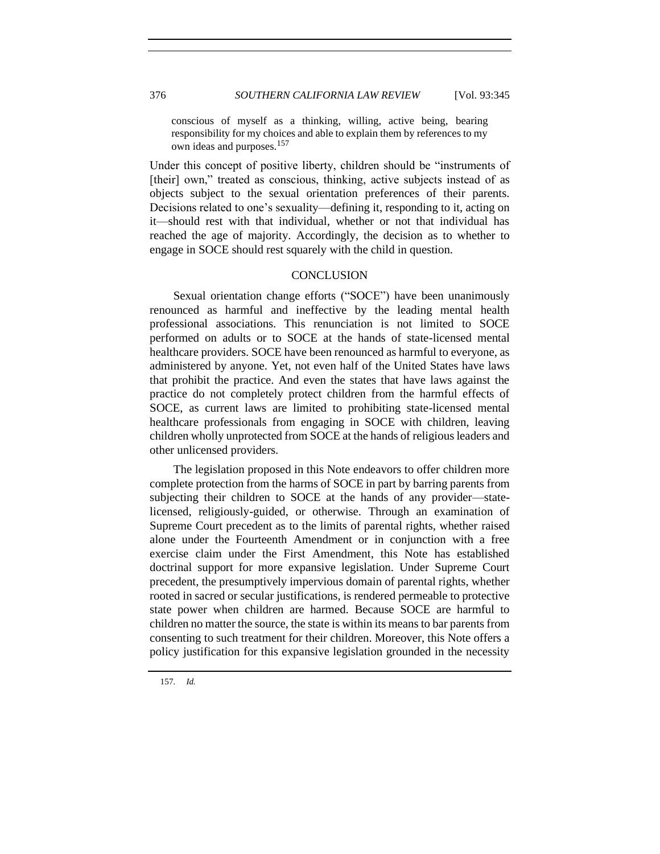conscious of myself as a thinking, willing, active being, bearing responsibility for my choices and able to explain them by references to my own ideas and purposes.<sup>157</sup>

Under this concept of positive liberty, children should be "instruments of [their] own," treated as conscious, thinking, active subjects instead of as objects subject to the sexual orientation preferences of their parents. Decisions related to one's sexuality—defining it, responding to it, acting on it—should rest with that individual, whether or not that individual has reached the age of majority. Accordingly, the decision as to whether to engage in SOCE should rest squarely with the child in question.

#### **CONCLUSION**

<span id="page-31-0"></span>Sexual orientation change efforts ("SOCE") have been unanimously renounced as harmful and ineffective by the leading mental health professional associations. This renunciation is not limited to SOCE performed on adults or to SOCE at the hands of state-licensed mental healthcare providers. SOCE have been renounced as harmful to everyone, as administered by anyone. Yet, not even half of the United States have laws that prohibit the practice. And even the states that have laws against the practice do not completely protect children from the harmful effects of SOCE, as current laws are limited to prohibiting state-licensed mental healthcare professionals from engaging in SOCE with children, leaving children wholly unprotected from SOCE at the hands of religious leaders and other unlicensed providers.

The legislation proposed in this Note endeavors to offer children more complete protection from the harms of SOCE in part by barring parents from subjecting their children to SOCE at the hands of any provider—statelicensed, religiously-guided, or otherwise. Through an examination of Supreme Court precedent as to the limits of parental rights, whether raised alone under the Fourteenth Amendment or in conjunction with a free exercise claim under the First Amendment, this Note has established doctrinal support for more expansive legislation. Under Supreme Court precedent, the presumptively impervious domain of parental rights, whether rooted in sacred or secular justifications, is rendered permeable to protective state power when children are harmed. Because SOCE are harmful to children no matter the source, the state is within its means to bar parents from consenting to such treatment for their children. Moreover, this Note offers a policy justification for this expansive legislation grounded in the necessity

157*. Id.*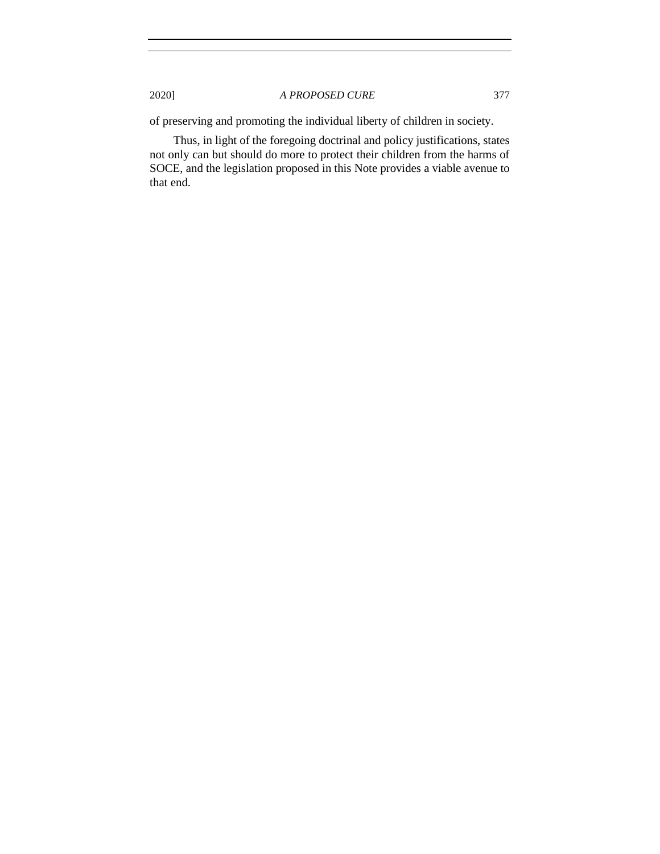of preserving and promoting the individual liberty of children in society.

Thus, in light of the foregoing doctrinal and policy justifications, states not only can but should do more to protect their children from the harms of SOCE, and the legislation proposed in this Note provides a viable avenue to that end.